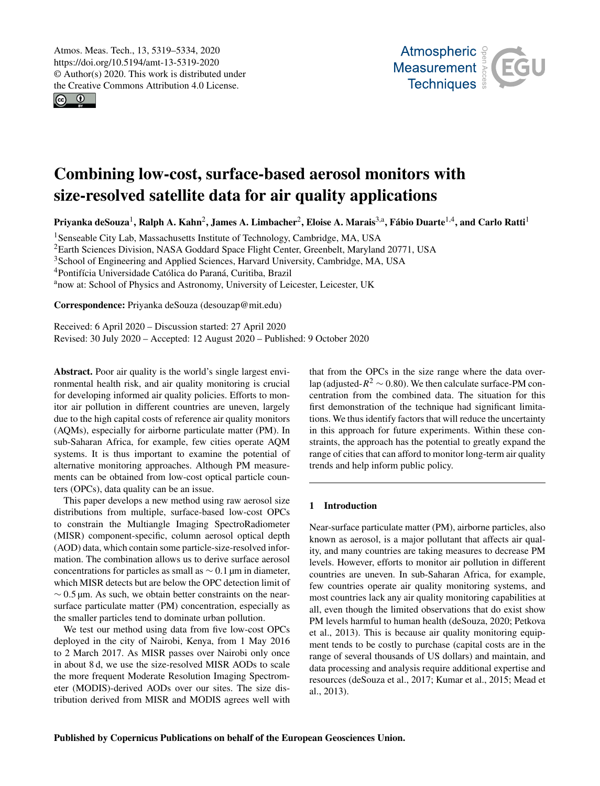$\circ$   $\bullet$ 



# Combining low-cost, surface-based aerosol monitors with size-resolved satellite data for air quality applications

Priyanka deSouza<sup>[1](#page-0-0)</sup>, Ralph A. Kahn<sup>[2](#page-0-0)</sup>, James A. Limbacher<sup>2</sup>, Eloise A. Marais<sup>[3,a](#page-0-0)</sup>, Fábio Duarte<sup>[1,4](#page-0-0)</sup>, and Carlo Ratti<sup>1</sup>

<sup>1</sup>Senseable City Lab, Massachusetts Institute of Technology, Cambridge, MA, USA

<sup>2</sup>Earth Sciences Division, NASA Goddard Space Flight Center, Greenbelt, Maryland 20771, USA

<sup>3</sup>School of Engineering and Applied Sciences, Harvard University, Cambridge, MA, USA

<sup>4</sup>Pontifícia Universidade Católica do Paraná, Curitiba, Brazil

anow at: School of Physics and Astronomy, University of Leicester, Leicester, UK

Correspondence: Priyanka deSouza (desouzap@mit.edu)

Received: 6 April 2020 – Discussion started: 27 April 2020 Revised: 30 July 2020 – Accepted: 12 August 2020 – Published: 9 October 2020

<span id="page-0-0"></span>Abstract. Poor air quality is the world's single largest environmental health risk, and air quality monitoring is crucial for developing informed air quality policies. Efforts to monitor air pollution in different countries are uneven, largely due to the high capital costs of reference air quality monitors (AQMs), especially for airborne particulate matter (PM). In sub-Saharan Africa, for example, few cities operate AQM systems. It is thus important to examine the potential of alternative monitoring approaches. Although PM measurements can be obtained from low-cost optical particle counters (OPCs), data quality can be an issue.

This paper develops a new method using raw aerosol size distributions from multiple, surface-based low-cost OPCs to constrain the Multiangle Imaging SpectroRadiometer (MISR) component-specific, column aerosol optical depth (AOD) data, which contain some particle-size-resolved information. The combination allows us to derive surface aerosol concentrations for particles as small as ∼ 0.1 µm in diameter, which MISR detects but are below the OPC detection limit of  $\sim$  0.5 µm. As such, we obtain better constraints on the nearsurface particulate matter (PM) concentration, especially as the smaller particles tend to dominate urban pollution.

We test our method using data from five low-cost OPCs deployed in the city of Nairobi, Kenya, from 1 May 2016 to 2 March 2017. As MISR passes over Nairobi only once in about 8 d, we use the size-resolved MISR AODs to scale the more frequent Moderate Resolution Imaging Spectrometer (MODIS)-derived AODs over our sites. The size distribution derived from MISR and MODIS agrees well with

that from the OPCs in the size range where the data overlap (adjusted- $R^2 \sim 0.80$ ). We then calculate surface-PM concentration from the combined data. The situation for this first demonstration of the technique had significant limitations. We thus identify factors that will reduce the uncertainty in this approach for future experiments. Within these constraints, the approach has the potential to greatly expand the range of cities that can afford to monitor long-term air quality trends and help inform public policy.

## 1 Introduction

Near-surface particulate matter (PM), airborne particles, also known as aerosol, is a major pollutant that affects air quality, and many countries are taking measures to decrease PM levels. However, efforts to monitor air pollution in different countries are uneven. In sub-Saharan Africa, for example, few countries operate air quality monitoring systems, and most countries lack any air quality monitoring capabilities at all, even though the limited observations that do exist show PM levels harmful to human health (deSouza, 2020; Petkova et al., 2013). This is because air quality monitoring equipment tends to be costly to purchase (capital costs are in the range of several thousands of US dollars) and maintain, and data processing and analysis require additional expertise and resources (deSouza et al., 2017; Kumar et al., 2015; Mead et al., 2013).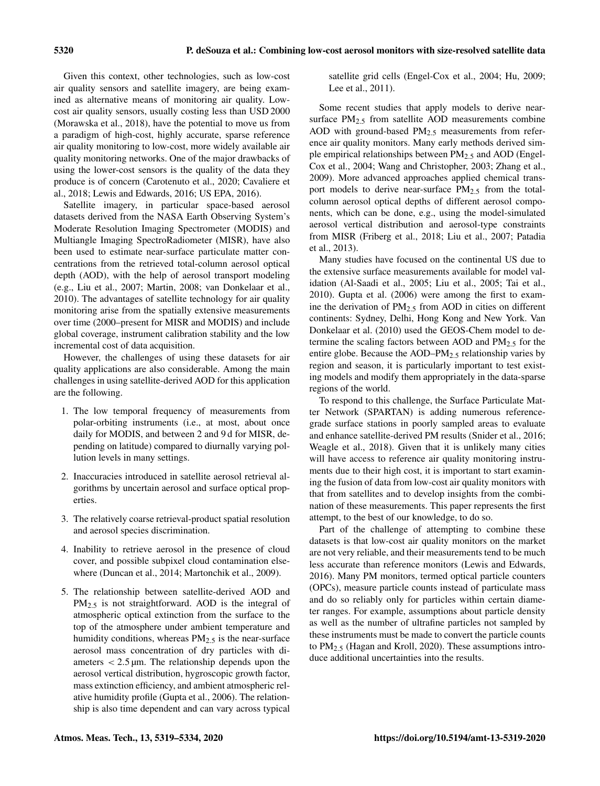Given this context, other technologies, such as low-cost air quality sensors and satellite imagery, are being examined as alternative means of monitoring air quality. Lowcost air quality sensors, usually costing less than USD 2000 (Morawska et al., 2018), have the potential to move us from a paradigm of high-cost, highly accurate, sparse reference air quality monitoring to low-cost, more widely available air quality monitoring networks. One of the major drawbacks of using the lower-cost sensors is the quality of the data they produce is of concern (Carotenuto et al., 2020; Cavaliere et al., 2018; Lewis and Edwards, 2016; US EPA, 2016).

Satellite imagery, in particular space-based aerosol datasets derived from the NASA Earth Observing System's Moderate Resolution Imaging Spectrometer (MODIS) and Multiangle Imaging SpectroRadiometer (MISR), have also been used to estimate near-surface particulate matter concentrations from the retrieved total-column aerosol optical depth (AOD), with the help of aerosol transport modeling (e.g., Liu et al., 2007; Martin, 2008; van Donkelaar et al., 2010). The advantages of satellite technology for air quality monitoring arise from the spatially extensive measurements over time (2000–present for MISR and MODIS) and include global coverage, instrument calibration stability and the low incremental cost of data acquisition.

However, the challenges of using these datasets for air quality applications are also considerable. Among the main challenges in using satellite-derived AOD for this application are the following.

- 1. The low temporal frequency of measurements from polar-orbiting instruments (i.e., at most, about once daily for MODIS, and between 2 and 9 d for MISR, depending on latitude) compared to diurnally varying pollution levels in many settings.
- 2. Inaccuracies introduced in satellite aerosol retrieval algorithms by uncertain aerosol and surface optical properties.
- 3. The relatively coarse retrieval-product spatial resolution and aerosol species discrimination.
- 4. Inability to retrieve aerosol in the presence of cloud cover, and possible subpixel cloud contamination elsewhere (Duncan et al., 2014; Martonchik et al., 2009).
- 5. The relationship between satellite-derived AOD and PM<sub>2.5</sub> is not straightforward. AOD is the integral of atmospheric optical extinction from the surface to the top of the atmosphere under ambient temperature and humidity conditions, whereas  $PM<sub>2.5</sub>$  is the near-surface aerosol mass concentration of dry particles with diameters  $< 2.5 \,\text{\mu m}$ . The relationship depends upon the aerosol vertical distribution, hygroscopic growth factor, mass extinction efficiency, and ambient atmospheric relative humidity profile (Gupta et al., 2006). The relationship is also time dependent and can vary across typical

satellite grid cells (Engel-Cox et al., 2004; Hu, 2009; Lee et al., 2011).

Some recent studies that apply models to derive nearsurface  $PM_{2.5}$  from satellite AOD measurements combine AOD with ground-based  $PM<sub>2.5</sub>$  measurements from reference air quality monitors. Many early methods derived simple empirical relationships between  $PM_{2.5}$  and AOD (Engel-Cox et al., 2004; Wang and Christopher, 2003; Zhang et al., 2009). More advanced approaches applied chemical transport models to derive near-surface  $PM_{2.5}$  from the totalcolumn aerosol optical depths of different aerosol components, which can be done, e.g., using the model-simulated aerosol vertical distribution and aerosol-type constraints from MISR (Friberg et al., 2018; Liu et al., 2007; Patadia et al., 2013).

Many studies have focused on the continental US due to the extensive surface measurements available for model validation (Al-Saadi et al., 2005; Liu et al., 2005; Tai et al., 2010). Gupta et al. (2006) were among the first to examine the derivation of  $PM_{2.5}$  from AOD in cities on different continents: Sydney, Delhi, Hong Kong and New York. Van Donkelaar et al. (2010) used the GEOS-Chem model to determine the scaling factors between AOD and  $PM_{2.5}$  for the entire globe. Because the  $AOD-PM<sub>2.5</sub>$  relationship varies by region and season, it is particularly important to test existing models and modify them appropriately in the data-sparse regions of the world.

To respond to this challenge, the Surface Particulate Matter Network (SPARTAN) is adding numerous referencegrade surface stations in poorly sampled areas to evaluate and enhance satellite-derived PM results (Snider et al., 2016; Weagle et al., 2018). Given that it is unlikely many cities will have access to reference air quality monitoring instruments due to their high cost, it is important to start examining the fusion of data from low-cost air quality monitors with that from satellites and to develop insights from the combination of these measurements. This paper represents the first attempt, to the best of our knowledge, to do so.

Part of the challenge of attempting to combine these datasets is that low-cost air quality monitors on the market are not very reliable, and their measurements tend to be much less accurate than reference monitors (Lewis and Edwards, 2016). Many PM monitors, termed optical particle counters (OPCs), measure particle counts instead of particulate mass and do so reliably only for particles within certain diameter ranges. For example, assumptions about particle density as well as the number of ultrafine particles not sampled by these instruments must be made to convert the particle counts to PM2.<sup>5</sup> (Hagan and Kroll, 2020). These assumptions introduce additional uncertainties into the results.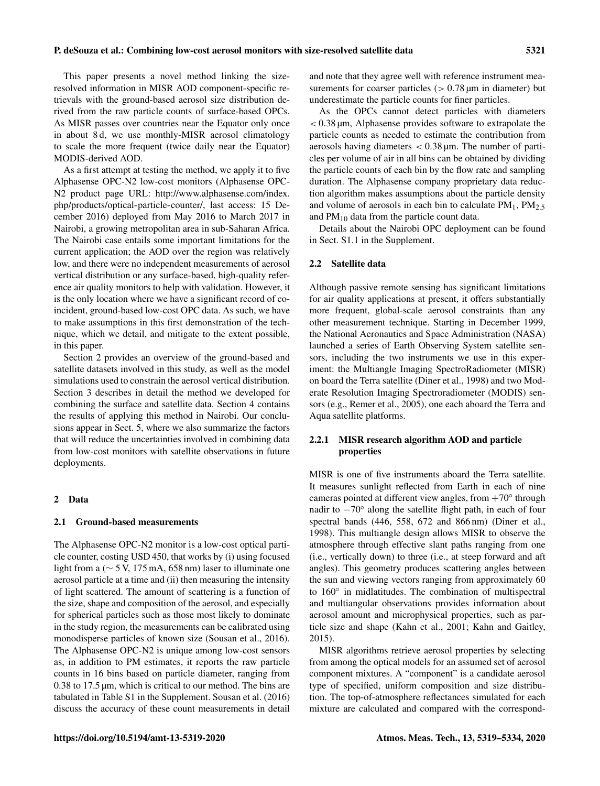This paper presents a novel method linking the sizeresolved information in MISR AOD component-specific retrievals with the ground-based aerosol size distribution derived from the raw particle counts of surface-based OPCs. As MISR passes over countries near the Equator only once in about 8 d, we use monthly-MISR aerosol climatology to scale the more frequent (twice daily near the Equator) MODIS-derived AOD.

As a first attempt at testing the method, we apply it to five Alphasense OPC-N2 low-cost monitors (Alphasense OPC-N2 product page URL: [http://www.alphasense.com/index.](http://www.alphasense.com/index.php/products/optical-particle-counter/) [php/products/optical-particle-counter/,](http://www.alphasense.com/index.php/products/optical-particle-counter/) last access: 15 December 2016) deployed from May 2016 to March 2017 in Nairobi, a growing metropolitan area in sub-Saharan Africa. The Nairobi case entails some important limitations for the current application; the AOD over the region was relatively low, and there were no independent measurements of aerosol vertical distribution or any surface-based, high-quality reference air quality monitors to help with validation. However, it is the only location where we have a significant record of coincident, ground-based low-cost OPC data. As such, we have to make assumptions in this first demonstration of the technique, which we detail, and mitigate to the extent possible, in this paper.

Section 2 provides an overview of the ground-based and satellite datasets involved in this study, as well as the model simulations used to constrain the aerosol vertical distribution. Section 3 describes in detail the method we developed for combining the surface and satellite data. Section 4 contains the results of applying this method in Nairobi. Our conclusions appear in Sect. 5, where we also summarize the factors that will reduce the uncertainties involved in combining data from low-cost monitors with satellite observations in future deployments.

#### 2 Data

#### 2.1 Ground-based measurements

The Alphasense OPC-N2 monitor is a low-cost optical particle counter, costing USD 450, that works by (i) using focused light from a (∼ 5 V, 175 mA, 658 nm) laser to illuminate one aerosol particle at a time and (ii) then measuring the intensity of light scattered. The amount of scattering is a function of the size, shape and composition of the aerosol, and especially for spherical particles such as those most likely to dominate in the study region, the measurements can be calibrated using monodisperse particles of known size (Sousan et al., 2016). The Alphasense OPC-N2 is unique among low-cost sensors as, in addition to PM estimates, it reports the raw particle counts in 16 bins based on particle diameter, ranging from 0.38 to 17.5 µm, which is critical to our method. The bins are tabulated in Table S1 in the Supplement. Sousan et al. (2016) discuss the accuracy of these count measurements in detail and note that they agree well with reference instrument measurements for coarser particles  $(> 0.78 \,\mu m)$  in diameter) but underestimate the particle counts for finer particles.

As the OPCs cannot detect particles with diameters  $< 0.38$  µm, Alphasense provides software to extrapolate the particle counts as needed to estimate the contribution from aerosols having diameters  $< 0.38 \,\mathrm{\mu m}$ . The number of particles per volume of air in all bins can be obtained by dividing the particle counts of each bin by the flow rate and sampling duration. The Alphasense company proprietary data reduction algorithm makes assumptions about the particle density and volume of aerosols in each bin to calculate  $PM_1$ ,  $PM_2$ , and  $PM_{10}$  data from the particle count data.

Details about the Nairobi OPC deployment can be found in Sect. S1.1 in the Supplement.

#### 2.2 Satellite data

Although passive remote sensing has significant limitations for air quality applications at present, it offers substantially more frequent, global-scale aerosol constraints than any other measurement technique. Starting in December 1999, the National Aeronautics and Space Administration (NASA) launched a series of Earth Observing System satellite sensors, including the two instruments we use in this experiment: the Multiangle Imaging SpectroRadiometer (MISR) on board the Terra satellite (Diner et al., 1998) and two Moderate Resolution Imaging Spectroradiometer (MODIS) sensors (e.g., Remer et al., 2005), one each aboard the Terra and Aqua satellite platforms.

## 2.2.1 MISR research algorithm AOD and particle properties

MISR is one of five instruments aboard the Terra satellite. It measures sunlight reflected from Earth in each of nine cameras pointed at different view angles, from +70° through nadir to −70◦ along the satellite flight path, in each of four spectral bands (446, 558, 672 and 866 nm) (Diner et al., 1998). This multiangle design allows MISR to observe the atmosphere through effective slant paths ranging from one (i.e., vertically down) to three (i.e., at steep forward and aft angles). This geometry produces scattering angles between the sun and viewing vectors ranging from approximately 60 to 160◦ in midlatitudes. The combination of multispectral and multiangular observations provides information about aerosol amount and microphysical properties, such as particle size and shape (Kahn et al., 2001; Kahn and Gaitley, 2015).

MISR algorithms retrieve aerosol properties by selecting from among the optical models for an assumed set of aerosol component mixtures. A "component" is a candidate aerosol type of specified, uniform composition and size distribution. The top-of-atmosphere reflectances simulated for each mixture are calculated and compared with the correspond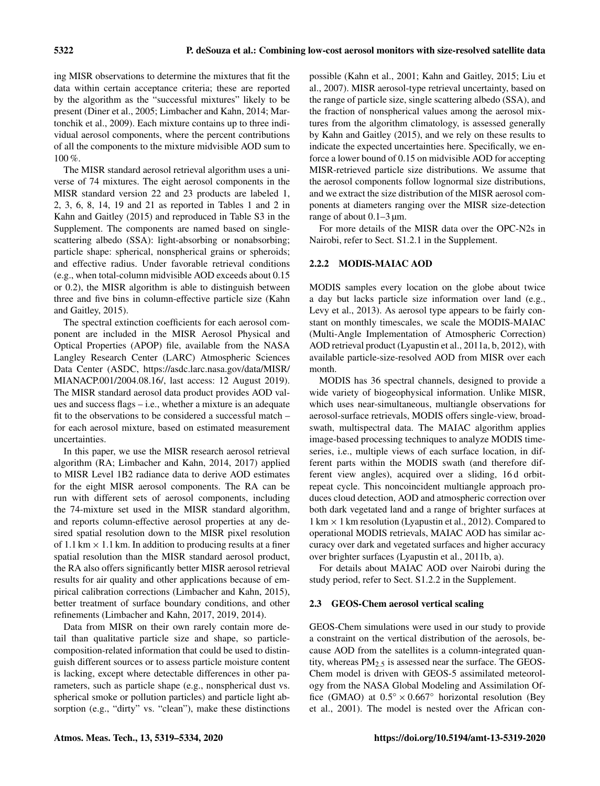ing MISR observations to determine the mixtures that fit the data within certain acceptance criteria; these are reported by the algorithm as the "successful mixtures" likely to be present (Diner et al., 2005; Limbacher and Kahn, 2014; Martonchik et al., 2009). Each mixture contains up to three individual aerosol components, where the percent contributions of all the components to the mixture midvisible AOD sum to 100 %.

The MISR standard aerosol retrieval algorithm uses a universe of 74 mixtures. The eight aerosol components in the MISR standard version 22 and 23 products are labeled 1, 2, 3, 6, 8, 14, 19 and 21 as reported in Tables 1 and 2 in Kahn and Gaitley (2015) and reproduced in Table S3 in the Supplement. The components are named based on singlescattering albedo (SSA): light-absorbing or nonabsorbing; particle shape: spherical, nonspherical grains or spheroids; and effective radius. Under favorable retrieval conditions (e.g., when total-column midvisible AOD exceeds about 0.15 or 0.2), the MISR algorithm is able to distinguish between three and five bins in column-effective particle size (Kahn and Gaitley, 2015).

The spectral extinction coefficients for each aerosol component are included in the MISR Aerosol Physical and Optical Properties (APOP) file, available from the NASA Langley Research Center (LARC) Atmospheric Sciences Data Center (ASDC, [https://asdc.larc.nasa.gov/data/MISR/](https://asdc.larc.nasa.gov/data/MISR/MIANACP.001/2004.08.16/) [MIANACP.001/2004.08.16/,](https://asdc.larc.nasa.gov/data/MISR/MIANACP.001/2004.08.16/) last access: 12 August 2019). The MISR standard aerosol data product provides AOD values and success flags – i.e., whether a mixture is an adequate fit to the observations to be considered a successful match – for each aerosol mixture, based on estimated measurement uncertainties.

In this paper, we use the MISR research aerosol retrieval algorithm (RA; Limbacher and Kahn, 2014, 2017) applied to MISR Level 1B2 radiance data to derive AOD estimates for the eight MISR aerosol components. The RA can be run with different sets of aerosol components, including the 74-mixture set used in the MISR standard algorithm, and reports column-effective aerosol properties at any desired spatial resolution down to the MISR pixel resolution of 1.1 km  $\times$  1.1 km. In addition to producing results at a finer spatial resolution than the MISR standard aerosol product, the RA also offers significantly better MISR aerosol retrieval results for air quality and other applications because of empirical calibration corrections (Limbacher and Kahn, 2015), better treatment of surface boundary conditions, and other refinements (Limbacher and Kahn, 2017, 2019, 2014).

Data from MISR on their own rarely contain more detail than qualitative particle size and shape, so particlecomposition-related information that could be used to distinguish different sources or to assess particle moisture content is lacking, except where detectable differences in other parameters, such as particle shape (e.g., nonspherical dust vs. spherical smoke or pollution particles) and particle light absorption (e.g., "dirty" vs. "clean"), make these distinctions possible (Kahn et al., 2001; Kahn and Gaitley, 2015; Liu et al., 2007). MISR aerosol-type retrieval uncertainty, based on the range of particle size, single scattering albedo (SSA), and the fraction of nonspherical values among the aerosol mixtures from the algorithm climatology, is assessed generally by Kahn and Gaitley (2015), and we rely on these results to indicate the expected uncertainties here. Specifically, we enforce a lower bound of 0.15 on midvisible AOD for accepting MISR-retrieved particle size distributions. We assume that the aerosol components follow lognormal size distributions, and we extract the size distribution of the MISR aerosol components at diameters ranging over the MISR size-detection range of about  $0.1-3 \mu m$ .

For more details of the MISR data over the OPC-N2s in Nairobi, refer to Sect. S1.2.1 in the Supplement.

## 2.2.2 MODIS-MAIAC AOD

MODIS samples every location on the globe about twice a day but lacks particle size information over land (e.g., Levy et al., 2013). As aerosol type appears to be fairly constant on monthly timescales, we scale the MODIS-MAIAC (Multi-Angle Implementation of Atmospheric Correction) AOD retrieval product (Lyapustin et al., 2011a, b, 2012), with available particle-size-resolved AOD from MISR over each month.

MODIS has 36 spectral channels, designed to provide a wide variety of biogeophysical information. Unlike MISR, which uses near-simultaneous, multiangle observations for aerosol-surface retrievals, MODIS offers single-view, broadswath, multispectral data. The MAIAC algorithm applies image-based processing techniques to analyze MODIS timeseries, i.e., multiple views of each surface location, in different parts within the MODIS swath (and therefore different view angles), acquired over a sliding, 16 d orbitrepeat cycle. This noncoincident multiangle approach produces cloud detection, AOD and atmospheric correction over both dark vegetated land and a range of brighter surfaces at  $1 \text{ km} \times 1 \text{ km}$  resolution (Lyapustin et al., 2012). Compared to operational MODIS retrievals, MAIAC AOD has similar accuracy over dark and vegetated surfaces and higher accuracy over brighter surfaces (Lyapustin et al., 2011b, a).

For details about MAIAC AOD over Nairobi during the study period, refer to Sect. S1.2.2 in the Supplement.

## 2.3 GEOS-Chem aerosol vertical scaling

GEOS-Chem simulations were used in our study to provide a constraint on the vertical distribution of the aerosols, because AOD from the satellites is a column-integrated quantity, whereas  $PM_{2.5}$  is assessed near the surface. The GEOS-Chem model is driven with GEOS-5 assimilated meteorology from the NASA Global Modeling and Assimilation Office (GMAO) at  $0.5^{\circ} \times 0.667^{\circ}$  horizontal resolution (Bey et al., 2001). The model is nested over the African con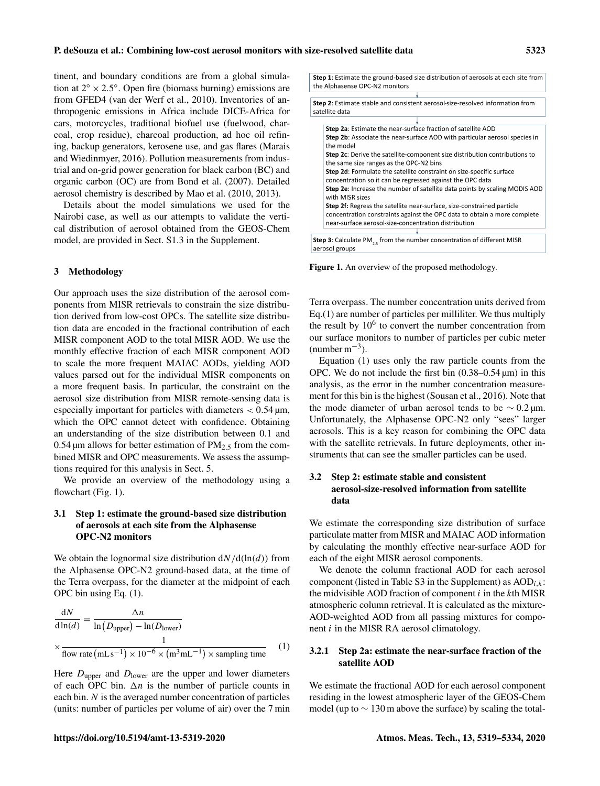tinent, and boundary conditions are from a global simulation at  $2^{\circ} \times 2.5^{\circ}$ . Open fire (biomass burning) emissions are from GFED4 (van der Werf et al., 2010). Inventories of anthropogenic emissions in Africa include DICE-Africa for cars, motorcycles, traditional biofuel use (fuelwood, charcoal, crop residue), charcoal production, ad hoc oil refining, backup generators, kerosene use, and gas flares (Marais and Wiedinmyer, 2016). Pollution measurements from industrial and on-grid power generation for black carbon (BC) and organic carbon (OC) are from Bond et al. (2007). Detailed aerosol chemistry is described by Mao et al. (2010, 2013).

Details about the model simulations we used for the Nairobi case, as well as our attempts to validate the vertical distribution of aerosol obtained from the GEOS-Chem model, are provided in Sect. S1.3 in the Supplement.

#### 3 Methodology

Our approach uses the size distribution of the aerosol components from MISR retrievals to constrain the size distribution derived from low-cost OPCs. The satellite size distribution data are encoded in the fractional contribution of each MISR component AOD to the total MISR AOD. We use the monthly effective fraction of each MISR component AOD to scale the more frequent MAIAC AODs, yielding AOD values parsed out for the individual MISR components on a more frequent basis. In particular, the constraint on the aerosol size distribution from MISR remote-sensing data is especially important for particles with diameters  $< 0.54 \,\text{\ensuremath{\mu}m}$ , which the OPC cannot detect with confidence. Obtaining an understanding of the size distribution between 0.1 and  $0.54 \,\mu$ m allows for better estimation of PM<sub>2.5</sub> from the combined MISR and OPC measurements. We assess the assumptions required for this analysis in Sect. 5.

We provide an overview of the methodology using a flowchart (Fig. 1).

## 3.1 Step 1: estimate the ground-based size distribution of aerosols at each site from the Alphasense OPC-N2 monitors

We obtain the lognormal size distribution  $dN/d(\ln(d))$  from the Alphasense OPC-N2 ground-based data, at the time of the Terra overpass, for the diameter at the midpoint of each OPC bin using Eq. (1).

$$
\frac{dN}{d\ln(d)} = \frac{\Delta n}{\ln(D_{\text{upper}}) - \ln(D_{\text{lower}})}
$$
\n
$$
\times \frac{1}{\text{flow rate (mL s-1)} \times 10^{-6} \times (m^3 mL^{-1}) \times sampling time}
$$
\n(1)

Here  $D_{\text{upper}}$  and  $D_{\text{lower}}$  are the upper and lower diameters of each OPC bin.  $\Delta n$  is the number of particle counts in each bin. N is the averaged number concentration of particles (units: number of particles per volume of air) over the 7 min Step 1: Estimate the ground-based size distribution of aerosols at each site from the Alphasense OPC-N2 monitors

| Step 2: Estimate stable and consistent aerosol-size-resolved information from<br>satellite data |
|-------------------------------------------------------------------------------------------------|
|                                                                                                 |
| Step 2a: Estimate the near-surface fraction of satellite AOD                                    |
| Step 2b: Associate the near-surface AOD with particular aerosol species in                      |
| the model                                                                                       |
| <b>Step 2c:</b> Derive the satellite-component size distribution contributions to               |
| the same size ranges as the OPC-N2 bins                                                         |
| Step 2d: Formulate the satellite constraint on size-specific surface                            |
| concentration so it can be regressed against the OPC data                                       |
| Step 2e: Increase the number of satellite data points by scaling MODIS AOD                      |
| with MISR sizes                                                                                 |
| Sten 2f. Regress the satellite near-surface size-constrained narticle                           |

concentration constraints against the OPC data to obtain a more complete

**Step 3**: Calculate PM<sub>2.5</sub> from the number concentration of different MISR aerosol groups

Figure 1. An overview of the proposed methodology.

near-surface aerosol-size-concentration distribution

Terra overpass. The number concentration units derived from Eq. $(1)$  are number of particles per milliliter. We thus multiply the result by  $10^6$  to convert the number concentration from our surface monitors to number of particles per cubic meter  $(number m<sup>-3</sup>)$ .

Equation (1) uses only the raw particle counts from the OPC. We do not include the first bin  $(0.38-0.54 \,\mu m)$  in this analysis, as the error in the number concentration measurement for this bin is the highest (Sousan et al., 2016). Note that the mode diameter of urban aerosol tends to be  $\sim 0.2 \,\text{\mu m}$ . Unfortunately, the Alphasense OPC-N2 only "sees" larger aerosols. This is a key reason for combining the OPC data with the satellite retrievals. In future deployments, other instruments that can see the smaller particles can be used.

## 3.2 Step 2: estimate stable and consistent aerosol-size-resolved information from satellite data

We estimate the corresponding size distribution of surface particulate matter from MISR and MAIAC AOD information by calculating the monthly effective near-surface AOD for each of the eight MISR aerosol components.

We denote the column fractional AOD for each aerosol component (listed in Table S3 in the Supplement) as  $AOD_{i,k}$ : the midvisible AOD fraction of component  $i$  in the  $k$ th MISR atmospheric column retrieval. It is calculated as the mixture-AOD-weighted AOD from all passing mixtures for component  $i$  in the MISR RA aerosol climatology.

## 3.2.1 Step 2a: estimate the near-surface fraction of the satellite AOD

We estimate the fractional AOD for each aerosol component residing in the lowest atmospheric layer of the GEOS-Chem model (up to  $\sim$  130 m above the surface) by scaling the total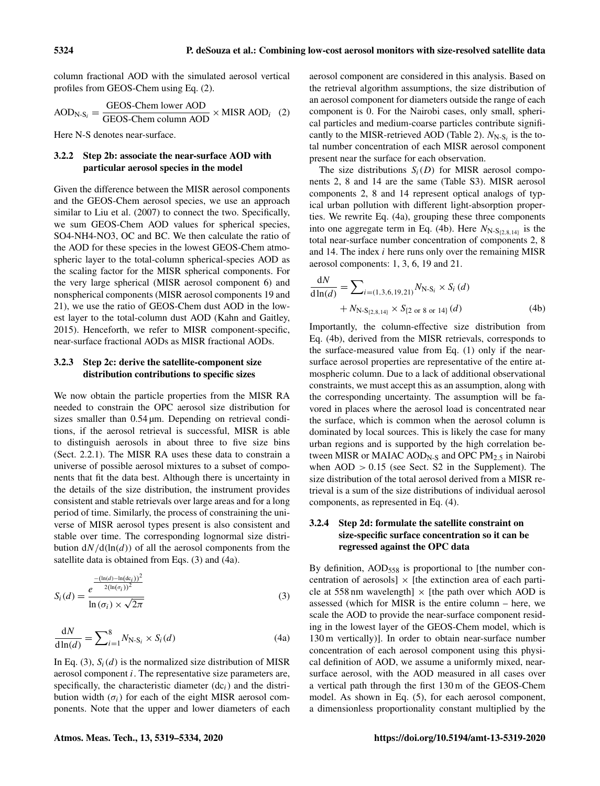column fractional AOD with the simulated aerosol vertical profiles from GEOS-Chem using Eq. (2).

$$
AOD_{N-S_i} = \frac{GEOS-Chem lower AOD}{GEOS-Chem column AOD} \times MISR AOD_i \quad (2)
$$

Here N-S denotes near-surface.

#### 3.2.2 Step 2b: associate the near-surface AOD with particular aerosol species in the model

Given the difference between the MISR aerosol components and the GEOS-Chem aerosol species, we use an approach similar to Liu et al. (2007) to connect the two. Specifically, we sum GEOS-Chem AOD values for spherical species, SO4-NH4-NO3, OC and BC. We then calculate the ratio of the AOD for these species in the lowest GEOS-Chem atmospheric layer to the total-column spherical-species AOD as the scaling factor for the MISR spherical components. For the very large spherical (MISR aerosol component 6) and nonspherical components (MISR aerosol components 19 and 21), we use the ratio of GEOS-Chem dust AOD in the lowest layer to the total-column dust AOD (Kahn and Gaitley, 2015). Henceforth, we refer to MISR component-specific, near-surface fractional AODs as MISR fractional AODs.

#### 3.2.3 Step 2c: derive the satellite-component size distribution contributions to specific sizes

We now obtain the particle properties from the MISR RA needed to constrain the OPC aerosol size distribution for sizes smaller than  $0.54 \mu m$ . Depending on retrieval conditions, if the aerosol retrieval is successful, MISR is able to distinguish aerosols in about three to five size bins (Sect. 2.2.1). The MISR RA uses these data to constrain a universe of possible aerosol mixtures to a subset of components that fit the data best. Although there is uncertainty in the details of the size distribution, the instrument provides consistent and stable retrievals over large areas and for a long period of time. Similarly, the process of constraining the universe of MISR aerosol types present is also consistent and stable over time. The corresponding lognormal size distribution  $dN/d(\ln(d))$  of all the aerosol components from the satellite data is obtained from Eqs. (3) and (4a).

$$
S_i(d) = \frac{e^{\frac{-(\ln(d) - \ln(d_{ci}))^2}{2(\ln(\sigma_i))^2}}}{\ln(\sigma_i) \times \sqrt{2\pi}}
$$
(3)

$$
\frac{\mathrm{d}N}{\mathrm{d}\ln(d)} = \sum_{i=1}^{8} N_{\mathrm{N-S}_i} \times S_i(d) \tag{4a}
$$

In Eq. (3),  $S_i(d)$  is the normalized size distribution of MISR aerosol component i. The representative size parameters are, specifically, the characteristic diameter  $(dc<sub>i</sub>)$  and the distribution width  $(\sigma_i)$  for each of the eight MISR aerosol components. Note that the upper and lower diameters of each aerosol component are considered in this analysis. Based on the retrieval algorithm assumptions, the size distribution of an aerosol component for diameters outside the range of each component is 0. For the Nairobi cases, only small, spherical particles and medium-coarse particles contribute significantly to the MISR-retrieved AOD (Table 2).  $N_{N-S_i}$  is the total number concentration of each MISR aerosol component present near the surface for each observation.

The size distributions  $S_i(D)$  for MISR aerosol components 2, 8 and 14 are the same (Table S3). MISR aerosol components 2, 8 and 14 represent optical analogs of typical urban pollution with different light-absorption properties. We rewrite Eq. (4a), grouping these three components into one aggregate term in Eq. (4b). Here  $N_{N-S_{(2,8,14)}}$  is the total near-surface number concentration of components 2, 8 and 14. The index i here runs only over the remaining MISR aerosol components: 1, 3, 6, 19 and 21.

$$
\frac{dN}{d\ln(d)} = \sum_{i=(1,3,6,19,21)} N_{N-S_i} \times S_i(d)
$$
  
+  $N_{N-S_{12,8,14}} \times S_{12 \text{ or } 8 \text{ or } 14} (d)$  (4b)

Importantly, the column-effective size distribution from Eq. (4b), derived from the MISR retrievals, corresponds to the surface-measured value from Eq. (1) only if the nearsurface aerosol properties are representative of the entire atmospheric column. Due to a lack of additional observational constraints, we must accept this as an assumption, along with the corresponding uncertainty. The assumption will be favored in places where the aerosol load is concentrated near the surface, which is common when the aerosol column is dominated by local sources. This is likely the case for many urban regions and is supported by the high correlation between MISR or MAIAC AOD<sub>N-S</sub> and OPC PM<sub>2.5</sub> in Nairobi when  $AOD > 0.15$  (see Sect. S2 in the Supplement). The size distribution of the total aerosol derived from a MISR retrieval is a sum of the size distributions of individual aerosol components, as represented in Eq. (4).

## 3.2.4 Step 2d: formulate the satellite constraint on size-specific surface concentration so it can be regressed against the OPC data

By definition, AOD<sub>558</sub> is proportional to [the number concentration of aerosols]  $\times$  [the extinction area of each particle at 558 nm wavelength]  $\times$  [the path over which AOD is assessed (which for MISR is the entire column – here, we scale the AOD to provide the near-surface component residing in the lowest layer of the GEOS-Chem model, which is 130 m vertically)]. In order to obtain near-surface number concentration of each aerosol component using this physical definition of AOD, we assume a uniformly mixed, nearsurface aerosol, with the AOD measured in all cases over a vertical path through the first 130 m of the GEOS-Chem model. As shown in Eq. (5), for each aerosol component, a dimensionless proportionality constant multiplied by the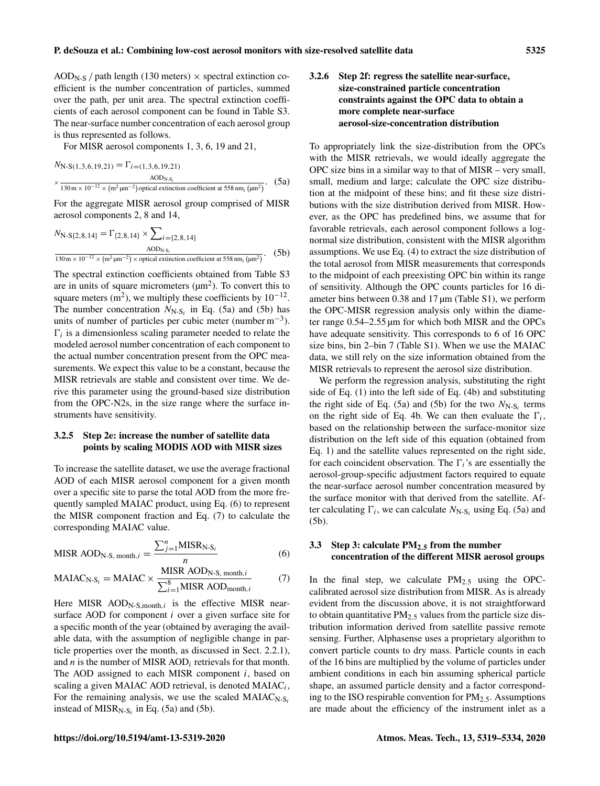$AOD<sub>N-S</sub>$  / path length (130 meters)  $\times$  spectral extinction coefficient is the number concentration of particles, summed over the path, per unit area. The spectral extinction coefficients of each aerosol component can be found in Table S3. The near-surface number concentration of each aerosol group is thus represented as follows.

For MISR aerosol components 1, 3, 6, 19 and 21,

$$
N_{\text{N-S}(1,3,6,19,21)} = \Gamma_{i=(1,3,6,19,21)}
$$
  
 
$$
\times \frac{\text{AOD}_{\text{N-S}_i}}{130 \text{ m} \times 10^{-12} \times (\text{m}^2 \text{ }\mu\text{m}^{-2}) \text{ optical extinction coefficient at 558 nm}_i (\text{ }\mu\text{m}^2)}.
$$
 (5a)

For the aggregate MISR aerosol group comprised of MISR aerosol components 2, 8 and 14,

$$
N_{\text{N-S}\{2,8,14\}} = \Gamma_{\{2,8,14\}} \times \sum_{i=\{2,8,14\}} \Delta_{\text{OD}_{\text{N-S}_i}} \Delta_{\text{OD}_{\text{N-S}_i}} \times \text{optical extinction coefficient at 558 nm}_i \text{ (µm}^2)}.
$$
 (5b)

The spectral extinction coefficients obtained from Table S3 are in units of square micrometers  $(\mu m^2)$ . To convert this to square meters  $(m^2)$ , we multiply these coefficients by  $10^{-12}$ . The number concentration  $N_{N-S_i}$  in Eq. (5a) and (5b) has units of number of particles per cubic meter (number  $m^{-3}$ ).  $\Gamma_i$  is a dimensionless scaling parameter needed to relate the modeled aerosol number concentration of each component to the actual number concentration present from the OPC measurements. We expect this value to be a constant, because the MISR retrievals are stable and consistent over time. We derive this parameter using the ground-based size distribution from the OPC-N2s, in the size range where the surface instruments have sensitivity.

#### 3.2.5 Step 2e: increase the number of satellite data points by scaling MODIS AOD with MISR sizes

To increase the satellite dataset, we use the average fractional AOD of each MISR aerosol component for a given month over a specific site to parse the total AOD from the more frequently sampled MAIAC product, using Eq. (6) to represent the MISR component fraction and Eq. (7) to calculate the corresponding MAIAC value.

$$
\text{MISR AOD}_{N-S, \text{month}, i} = \frac{\sum_{j=1}^{n} \text{MISR}_{N-S_i}}{n} \tag{6}
$$

$$
MAIAC_{N-S_i} = MAIAC \times \frac{MISR \text{ AOD}_{N-S, \text{ month}, i}}{\sum_{i=1}^{8} MISR \text{ AOD}_{\text{month}, i}} \tag{7}
$$

Here MISR  $AOD_{N-S, month, i}$  is the effective MISR nearsurface AOD for component *i* over a given surface site for a specific month of the year (obtained by averaging the available data, with the assumption of negligible change in particle properties over the month, as discussed in Sect. 2.2.1), and  $n$  is the number of MISR AOD<sub>i</sub> retrievals for that month. The AOD assigned to each MISR component i, based on scaling a given MAIAC AOD retrieval, is denoted  $\text{MAIAC}_i$ , For the remaining analysis, we use the scaled  $MAIAC<sub>N-S<sub>i</sub></sub>$ instead of  $MISR_{N-S_i}$  in Eq. (5a) and (5b).

## 3.2.6 Step 2f: regress the satellite near-surface, size-constrained particle concentration constraints against the OPC data to obtain a more complete near-surface aerosol-size-concentration distribution

To appropriately link the size-distribution from the OPCs with the MISR retrievals, we would ideally aggregate the OPC size bins in a similar way to that of MISR – very small, small, medium and large; calculate the OPC size distribution at the midpoint of these bins; and fit these size distributions with the size distribution derived from MISR. However, as the OPC has predefined bins, we assume that for favorable retrievals, each aerosol component follows a lognormal size distribution, consistent with the MISR algorithm assumptions. We use Eq. (4) to extract the size distribution of the total aerosol from MISR measurements that corresponds to the midpoint of each preexisting OPC bin within its range of sensitivity. Although the OPC counts particles for 16 diameter bins between 0.38 and 17  $\mu$ m (Table S1), we perform the OPC-MISR regression analysis only within the diameter range 0.54–2.55 µm for which both MISR and the OPCs have adequate sensitivity. This corresponds to 6 of 16 OPC size bins, bin 2–bin 7 (Table S1). When we use the MAIAC data, we still rely on the size information obtained from the MISR retrievals to represent the aerosol size distribution.

We perform the regression analysis, substituting the right side of Eq. (1) into the left side of Eq. (4b) and substituting the right side of Eq. (5a) and (5b) for the two  $N_{N-S_i}$  terms on the right side of Eq. 4b. We can then evaluate the  $\Gamma_i$ , based on the relationship between the surface-monitor size distribution on the left side of this equation (obtained from Eq. 1) and the satellite values represented on the right side, for each coincident observation. The  $\Gamma_i$ 's are essentially the aerosol-group-specific adjustment factors required to equate the near-surface aerosol number concentration measured by the surface monitor with that derived from the satellite. After calculating  $\Gamma_i$ , we can calculate  $N_{N-S_i}$  using Eq. (5a) and (5b).

#### 3.3 Step 3: calculate  $PM_{2,5}$  from the number concentration of the different MISR aerosol groups

In the final step, we calculate  $PM_{2.5}$  using the OPCcalibrated aerosol size distribution from MISR. As is already evident from the discussion above, it is not straightforward to obtain quantitative  $PM_{2.5}$  values from the particle size distribution information derived from satellite passive remote sensing. Further, Alphasense uses a proprietary algorithm to convert particle counts to dry mass. Particle counts in each of the 16 bins are multiplied by the volume of particles under ambient conditions in each bin assuming spherical particle shape, an assumed particle density and a factor corresponding to the ISO respirable convention for  $PM_{2.5}$ . Assumptions are made about the efficiency of the instrument inlet as a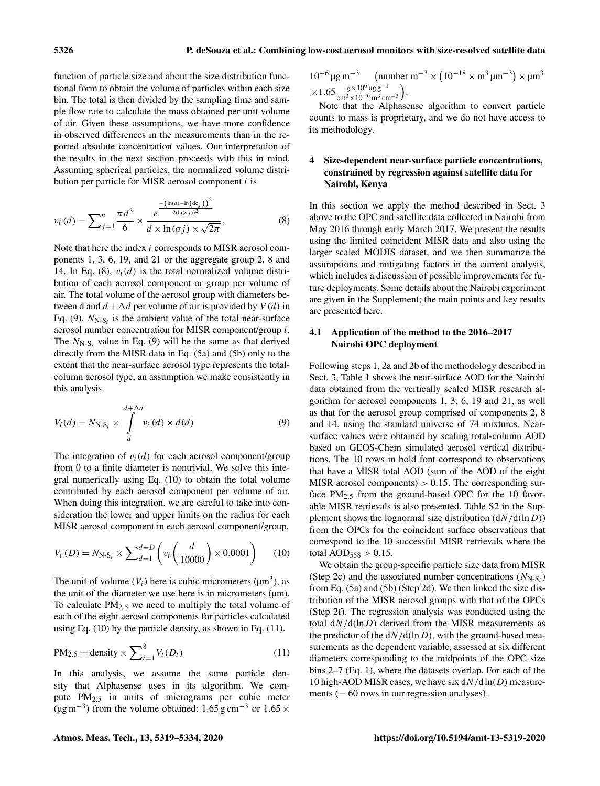function of particle size and about the size distribution functional form to obtain the volume of particles within each size bin. The total is then divided by the sampling time and sample flow rate to calculate the mass obtained per unit volume of air. Given these assumptions, we have more confidence in observed differences in the measurements than in the reported absolute concentration values. Our interpretation of the results in the next section proceeds with this in mind. Assuming spherical particles, the normalized volume distribution per particle for MISR aerosol component  $i$  is

$$
v_i(d) = \sum_{j=1}^n \frac{\pi d^3}{6} \times \frac{e^{-\frac{(\ln(d) - \ln(\text{dc}_j))^2}{2(\ln(\sigma j))^2}}}{d \times \ln(\sigma j) \times \sqrt{2\pi}}.
$$
(8)

Note that here the index i corresponds to MISR aerosol components 1, 3, 6, 19, and 21 or the aggregate group 2, 8 and 14. In Eq. (8),  $v_i(d)$  is the total normalized volume distribution of each aerosol component or group per volume of air. The total volume of the aerosol group with diameters between d and  $d + \Delta d$  per volume of air is provided by  $V(d)$  in Eq. (9).  $N_{N-S_i}$  is the ambient value of the total near-surface aerosol number concentration for MISR component/group i. The  $N_{N-S_i}$  value in Eq. (9) will be the same as that derived directly from the MISR data in Eq. (5a) and (5b) only to the extent that the near-surface aerosol type represents the totalcolumn aerosol type, an assumption we make consistently in this analysis.

$$
V_i(d) = N_{N-S_i} \times \int_{d}^{d+\Delta d} v_i(d) \times d(d)
$$
 (9)

The integration of  $v_i(d)$  for each aerosol component/group from 0 to a finite diameter is nontrivial. We solve this integral numerically using Eq. (10) to obtain the total volume contributed by each aerosol component per volume of air. When doing this integration, we are careful to take into consideration the lower and upper limits on the radius for each MISR aerosol component in each aerosol component/group.

$$
V_i(D) = N_{N-S_i} \times \sum_{d=1}^{d=D} \left( v_i \left( \frac{d}{10000} \right) \times 0.0001 \right) \tag{10}
$$

The unit of volume  $(V_i)$  here is cubic micrometers ( $\mu$ m<sup>3</sup>), as the unit of the diameter we use here is in micrometers  $(\mu m)$ . To calculate  $PM_{2,5}$  we need to multiply the total volume of each of the eight aerosol components for particles calculated using Eq.  $(10)$  by the particle density, as shown in Eq.  $(11)$ .

$$
PM_{2.5} = density \times \sum_{i=1}^{8} V_i(D_i)
$$
 (11)

In this analysis, we assume the same particle density that Alphasense uses in its algorithm. We compute PM2.<sup>5</sup> in units of micrograms per cubic meter ( $\mu$ g m<sup>-3</sup>) from the volume obtained: 1.65 g cm<sup>-3</sup> or 1.65 ×

10<sup>-6</sup> μg m<sup>-3</sup> (number m<sup>-3</sup> × (10<sup>-18</sup> × m<sup>3</sup> μm<sup>-3</sup>) × μm<sup>3</sup>  $\times 1.65 \frac{g \times 10^6 \,\text{µg}\,\text{g}^{-1}}{\text{cm}^3 \times 10^{-6} \text{m}^3 \text{cm}^{-3}}$ .

Note that the Alphasense algorithm to convert particle counts to mass is proprietary, and we do not have access to its methodology.

#### 4 Size-dependent near-surface particle concentrations, constrained by regression against satellite data for Nairobi, Kenya

In this section we apply the method described in Sect. 3 above to the OPC and satellite data collected in Nairobi from May 2016 through early March 2017. We present the results using the limited coincident MISR data and also using the larger scaled MODIS dataset, and we then summarize the assumptions and mitigating factors in the current analysis, which includes a discussion of possible improvements for future deployments. Some details about the Nairobi experiment are given in the Supplement; the main points and key results are presented here.

#### 4.1 Application of the method to the 2016–2017 Nairobi OPC deployment

Following steps 1, 2a and 2b of the methodology described in Sect. 3, Table 1 shows the near-surface AOD for the Nairobi data obtained from the vertically scaled MISR research algorithm for aerosol components 1, 3, 6, 19 and 21, as well as that for the aerosol group comprised of components 2, 8 and 14, using the standard universe of 74 mixtures. Nearsurface values were obtained by scaling total-column AOD based on GEOS-Chem simulated aerosol vertical distributions. The 10 rows in bold font correspond to observations that have a MISR total AOD (sum of the AOD of the eight MISR aerosol components)  $> 0.15$ . The corresponding surface  $PM_{2.5}$  from the ground-based OPC for the 10 favorable MISR retrievals is also presented. Table S2 in the Supplement shows the lognormal size distribution  $\left(\frac{dN}{d} \ln D\right)$ from the OPCs for the coincident surface observations that correspond to the 10 successful MISR retrievals where the total  $AOD_{558} > 0.15$ .

We obtain the group-specific particle size data from MISR (Step 2c) and the associated number concentrations  $(N_{N-S_i})$ from Eq. (5a) and (5b) (Step 2d). We then linked the size distribution of the MISR aerosol groups with that of the OPCs (Step 2f). The regression analysis was conducted using the total  $dN/d(\ln D)$  derived from the MISR measurements as the predictor of the  $dN/d(\ln D)$ , with the ground-based measurements as the dependent variable, assessed at six different diameters corresponding to the midpoints of the OPC size bins 2–7 (Eq. 1), where the datasets overlap. For each of the 10 high-AOD MISR cases, we have six  $dN/dln(D)$  measurements  $(= 60$  rows in our regression analyses).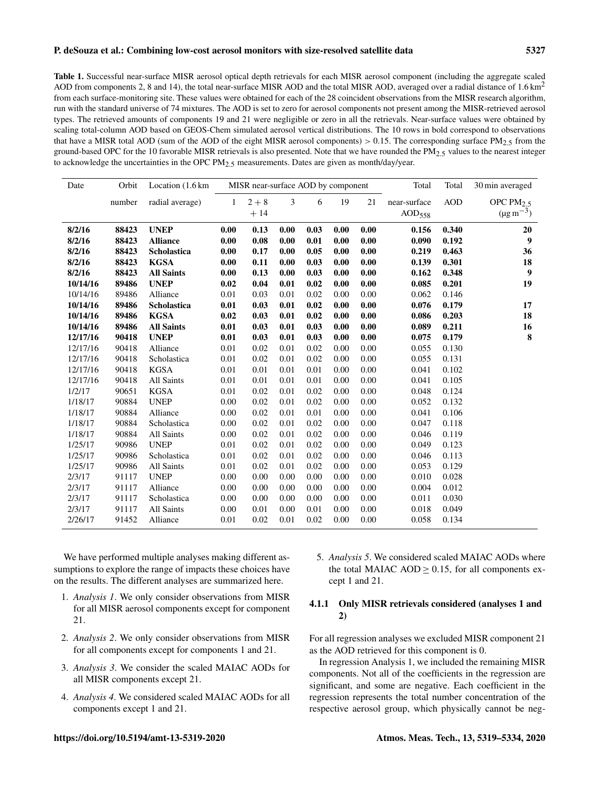#### P. deSouza et al.: Combining low-cost aerosol monitors with size-resolved satellite data 5327

Table 1. Successful near-surface MISR aerosol optical depth retrievals for each MISR aerosol component (including the aggregate scaled AOD from components 2, 8 and 14), the total near-surface MISR AOD and the total MISR AOD, averaged over a radial distance of  $1.6 \text{ km}^2$ from each surface-monitoring site. These values were obtained for each of the 28 coincident observations from the MISR research algorithm, run with the standard universe of 74 mixtures. The AOD is set to zero for aerosol components not present among the MISR-retrieved aerosol types. The retrieved amounts of components 19 and 21 were negligible or zero in all the retrievals. Near-surface values were obtained by scaling total-column AOD based on GEOS-Chem simulated aerosol vertical distributions. The 10 rows in bold correspond to observations that have a MISR total AOD (sum of the AOD of the eight MISR aerosol components) > 0.15. The corresponding surface  $PM_2$ , from the ground-based OPC for the 10 favorable MISR retrievals is also presented. Note that we have rounded the PM $_2$  5 values to the nearest integer to acknowledge the uncertainties in the OPC  $PM_{2.5}$  measurements. Dates are given as month/day/year.

| Date     | Orbit  | Location (1.6 km) |              | MISR near-surface AOD by component |                |      |      | Total    | Total        | 30 min averaged |                            |
|----------|--------|-------------------|--------------|------------------------------------|----------------|------|------|----------|--------------|-----------------|----------------------------|
|          | number | radial average)   | $\mathbf{1}$ | $2 + 8$                            | $\mathfrak{Z}$ | 6    | 19   | 21       | near-surface | <b>AOD</b>      | OPC PM $_2$ 5              |
|          |        |                   |              | $+14$                              |                |      |      |          | $AOD_{558}$  |                 | $(\mu g \, \text{m}^{-3})$ |
| 8/2/16   | 88423  | <b>UNEP</b>       | 0.00         | 0.13                               | 0.00           | 0.03 | 0.00 | 0.00     | 0.156        | 0.340           | 20                         |
| 8/2/16   | 88423  | <b>Alliance</b>   | 0.00         | 0.08                               | 0.00           | 0.01 | 0.00 | 0.00     | 0.090        | 0.192           | $\boldsymbol{9}$           |
| 8/2/16   | 88423  | Scholastica       | 0.00         | 0.17                               | 0.00           | 0.05 | 0.00 | 0.00     | 0.219        | 0.463           | 36                         |
| 8/2/16   | 88423  | <b>KGSA</b>       | 0.00         | 0.11                               | 0.00           | 0.03 | 0.00 | 0.00     | 0.139        | 0.301           | 18                         |
| 8/2/16   | 88423  | <b>All Saints</b> | 0.00         | 0.13                               | 0.00           | 0.03 | 0.00 | 0.00     | 0.162        | 0.348           | $\boldsymbol{9}$           |
| 10/14/16 | 89486  | <b>UNEP</b>       | 0.02         | 0.04                               | 0.01           | 0.02 | 0.00 | 0.00     | 0.085        | 0.201           | 19                         |
| 10/14/16 | 89486  | Alliance          | 0.01         | 0.03                               | 0.01           | 0.02 | 0.00 | 0.00     | 0.062        | 0.146           |                            |
| 10/14/16 | 89486  | Scholastica       | 0.01         | 0.03                               | 0.01           | 0.02 | 0.00 | $0.00\,$ | 0.076        | 0.179           | 17                         |
| 10/14/16 | 89486  | <b>KGSA</b>       | 0.02         | 0.03                               | 0.01           | 0.02 | 0.00 | 0.00     | 0.086        | 0.203           | 18                         |
| 10/14/16 | 89486  | <b>All Saints</b> | 0.01         | 0.03                               | 0.01           | 0.03 | 0.00 | 0.00     | 0.089        | 0.211           | 16                         |
| 12/17/16 | 90418  | <b>UNEP</b>       | 0.01         | 0.03                               | 0.01           | 0.03 | 0.00 | 0.00     | 0.075        | 0.179           | 8                          |
| 12/17/16 | 90418  | Alliance          | 0.01         | 0.02                               | 0.01           | 0.02 | 0.00 | 0.00     | 0.055        | 0.130           |                            |
| 12/17/16 | 90418  | Scholastica       | 0.01         | 0.02                               | 0.01           | 0.02 | 0.00 | 0.00     | 0.055        | 0.131           |                            |
| 12/17/16 | 90418  | <b>KGSA</b>       | 0.01         | 0.01                               | 0.01           | 0.01 | 0.00 | 0.00     | 0.041        | 0.102           |                            |
| 12/17/16 | 90418  | All Saints        | 0.01         | 0.01                               | 0.01           | 0.01 | 0.00 | 0.00     | 0.041        | 0.105           |                            |
| 1/2/17   | 90651  | <b>KGSA</b>       | 0.01         | 0.02                               | 0.01           | 0.02 | 0.00 | $0.00\,$ | 0.048        | 0.124           |                            |
| 1/18/17  | 90884  | <b>UNEP</b>       | 0.00         | 0.02                               | 0.01           | 0.02 | 0.00 | 0.00     | 0.052        | 0.132           |                            |
| 1/18/17  | 90884  | Alliance          | 0.00         | 0.02                               | 0.01           | 0.01 | 0.00 | 0.00     | 0.041        | 0.106           |                            |
| 1/18/17  | 90884  | Scholastica       | 0.00         | 0.02                               | 0.01           | 0.02 | 0.00 | 0.00     | 0.047        | 0.118           |                            |
| 1/18/17  | 90884  | All Saints        | 0.00         | 0.02                               | 0.01           | 0.02 | 0.00 | 0.00     | 0.046        | 0.119           |                            |
| 1/25/17  | 90986  | <b>UNEP</b>       | 0.01         | 0.02                               | 0.01           | 0.02 | 0.00 | 0.00     | 0.049        | 0.123           |                            |
| 1/25/17  | 90986  | Scholastica       | 0.01         | 0.02                               | 0.01           | 0.02 | 0.00 | 0.00     | 0.046        | 0.113           |                            |
| 1/25/17  | 90986  | All Saints        | 0.01         | 0.02                               | 0.01           | 0.02 | 0.00 | 0.00     | 0.053        | 0.129           |                            |
| 2/3/17   | 91117  | <b>UNEP</b>       | 0.00         | 0.00                               | 0.00           | 0.00 | 0.00 | 0.00     | 0.010        | 0.028           |                            |
| 2/3/17   | 91117  | Alliance          | 0.00         | 0.00                               | 0.00           | 0.00 | 0.00 | 0.00     | 0.004        | 0.012           |                            |
| 2/3/17   | 91117  | Scholastica       | 0.00         | 0.00                               | 0.00           | 0.00 | 0.00 | 0.00     | 0.011        | 0.030           |                            |
| 2/3/17   | 91117  | All Saints        | 0.00         | 0.01                               | 0.00           | 0.01 | 0.00 | 0.00     | 0.018        | 0.049           |                            |
| 2/26/17  | 91452  | Alliance          | 0.01         | 0.02                               | 0.01           | 0.02 | 0.00 | 0.00     | 0.058        | 0.134           |                            |

We have performed multiple analyses making different assumptions to explore the range of impacts these choices have on the results. The different analyses are summarized here.

- 1. *Analysis 1*. We only consider observations from MISR for all MISR aerosol components except for component 21.
- 2. *Analysis 2*. We only consider observations from MISR for all components except for components 1 and 21.
- 3. *Analysis 3*. We consider the scaled MAIAC AODs for all MISR components except 21.
- 4. *Analysis 4*. We considered scaled MAIAC AODs for all components except 1 and 21.

5. *Analysis 5*. We considered scaled MAIAC AODs where the total MAIAC AOD  $\geq$  0.15, for all components except 1 and 21.

### 4.1.1 Only MISR retrievals considered (analyses 1 and 2)

For all regression analyses we excluded MISR component 21 as the AOD retrieved for this component is 0.

In regression Analysis 1, we included the remaining MISR components. Not all of the coefficients in the regression are significant, and some are negative. Each coefficient in the regression represents the total number concentration of the respective aerosol group, which physically cannot be neg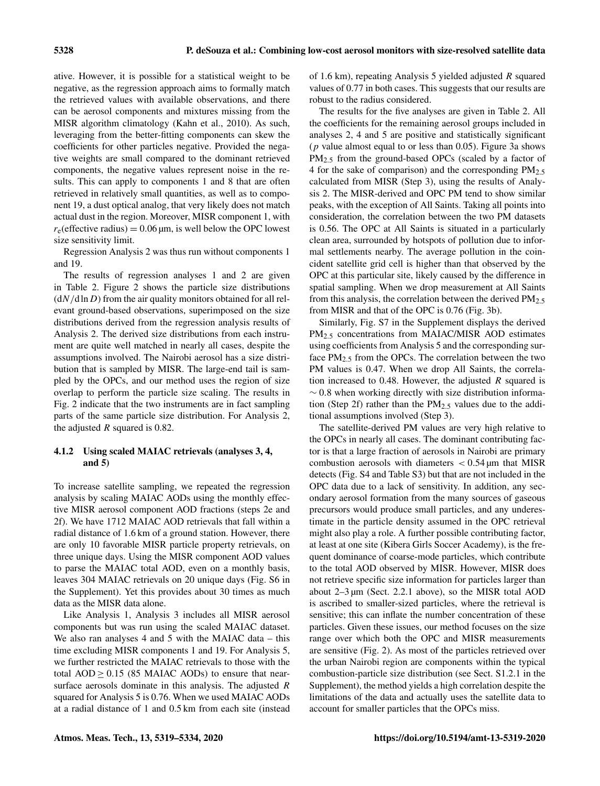ative. However, it is possible for a statistical weight to be negative, as the regression approach aims to formally match the retrieved values with available observations, and there can be aerosol components and mixtures missing from the MISR algorithm climatology (Kahn et al., 2010). As such, leveraging from the better-fitting components can skew the coefficients for other particles negative. Provided the negative weights are small compared to the dominant retrieved components, the negative values represent noise in the results. This can apply to components 1 and 8 that are often retrieved in relatively small quantities, as well as to component 19, a dust optical analog, that very likely does not match actual dust in the region. Moreover, MISR component 1, with  $r_e$ (effective radius) = 0.06 µm, is well below the OPC lowest size sensitivity limit.

Regression Analysis 2 was thus run without components 1 and 19.

The results of regression analyses 1 and 2 are given in Table 2. Figure 2 shows the particle size distributions  $(dN/d\ln D)$  from the air quality monitors obtained for all relevant ground-based observations, superimposed on the size distributions derived from the regression analysis results of Analysis 2. The derived size distributions from each instrument are quite well matched in nearly all cases, despite the assumptions involved. The Nairobi aerosol has a size distribution that is sampled by MISR. The large-end tail is sampled by the OPCs, and our method uses the region of size overlap to perform the particle size scaling. The results in Fig. 2 indicate that the two instruments are in fact sampling parts of the same particle size distribution. For Analysis 2, the adjusted  $R$  squared is 0.82.

#### 4.1.2 Using scaled MAIAC retrievals (analyses 3, 4, and 5)

To increase satellite sampling, we repeated the regression analysis by scaling MAIAC AODs using the monthly effective MISR aerosol component AOD fractions (steps 2e and 2f). We have 1712 MAIAC AOD retrievals that fall within a radial distance of 1.6 km of a ground station. However, there are only 10 favorable MISR particle property retrievals, on three unique days. Using the MISR component AOD values to parse the MAIAC total AOD, even on a monthly basis, leaves 304 MAIAC retrievals on 20 unique days (Fig. S6 in the Supplement). Yet this provides about 30 times as much data as the MISR data alone.

Like Analysis 1, Analysis 3 includes all MISR aerosol components but was run using the scaled MAIAC dataset. We also ran analyses 4 and 5 with the MAIAC data – this time excluding MISR components 1 and 19. For Analysis 5, we further restricted the MAIAC retrievals to those with the total  $AOD > 0.15$  (85 MAIAC AODs) to ensure that nearsurface aerosols dominate in this analysis. The adjusted R squared for Analysis 5 is 0.76. When we used MAIAC AODs at a radial distance of 1 and 0.5 km from each site (instead of 1.6 km), repeating Analysis 5 yielded adjusted R squared values of 0.77 in both cases. This suggests that our results are robust to the radius considered.

The results for the five analyses are given in Table 2. All the coefficients for the remaining aerosol groups included in analyses 2, 4 and 5 are positive and statistically significant ( $p$  value almost equal to or less than 0.05). Figure 3a shows PM<sub>2.5</sub> from the ground-based OPCs (scaled by a factor of 4 for the sake of comparison) and the corresponding  $PM_{2.5}$ calculated from MISR (Step 3), using the results of Analysis 2. The MISR-derived and OPC PM tend to show similar peaks, with the exception of All Saints. Taking all points into consideration, the correlation between the two PM datasets is 0.56. The OPC at All Saints is situated in a particularly clean area, surrounded by hotspots of pollution due to informal settlements nearby. The average pollution in the coincident satellite grid cell is higher than that observed by the OPC at this particular site, likely caused by the difference in spatial sampling. When we drop measurement at All Saints from this analysis, the correlation between the derived  $PM_{2.5}$ from MISR and that of the OPC is 0.76 (Fig. 3b).

Similarly, Fig. S7 in the Supplement displays the derived PM2.<sup>5</sup> concentrations from MAIAC/MISR AOD estimates using coefficients from Analysis 5 and the corresponding surface  $PM_{2.5}$  from the OPCs. The correlation between the two PM values is 0.47. When we drop All Saints, the correlation increased to 0.48. However, the adjusted  $R$  squared is  $\sim$  0.8 when working directly with size distribution information (Step 2f) rather than the  $PM_{2.5}$  values due to the additional assumptions involved (Step 3).

The satellite-derived PM values are very high relative to the OPCs in nearly all cases. The dominant contributing factor is that a large fraction of aerosols in Nairobi are primary combustion aerosols with diameters  $< 0.54 \,\mathrm{\mu m}$  that MISR detects (Fig. S4 and Table S3) but that are not included in the OPC data due to a lack of sensitivity. In addition, any secondary aerosol formation from the many sources of gaseous precursors would produce small particles, and any underestimate in the particle density assumed in the OPC retrieval might also play a role. A further possible contributing factor, at least at one site (Kibera Girls Soccer Academy), is the frequent dominance of coarse-mode particles, which contribute to the total AOD observed by MISR. However, MISR does not retrieve specific size information for particles larger than about 2–3 µm (Sect. 2.2.1 above), so the MISR total AOD is ascribed to smaller-sized particles, where the retrieval is sensitive; this can inflate the number concentration of these particles. Given these issues, our method focuses on the size range over which both the OPC and MISR measurements are sensitive (Fig. 2). As most of the particles retrieved over the urban Nairobi region are components within the typical combustion-particle size distribution (see Sect. S1.2.1 in the Supplement), the method yields a high correlation despite the limitations of the data and actually uses the satellite data to account for smaller particles that the OPCs miss.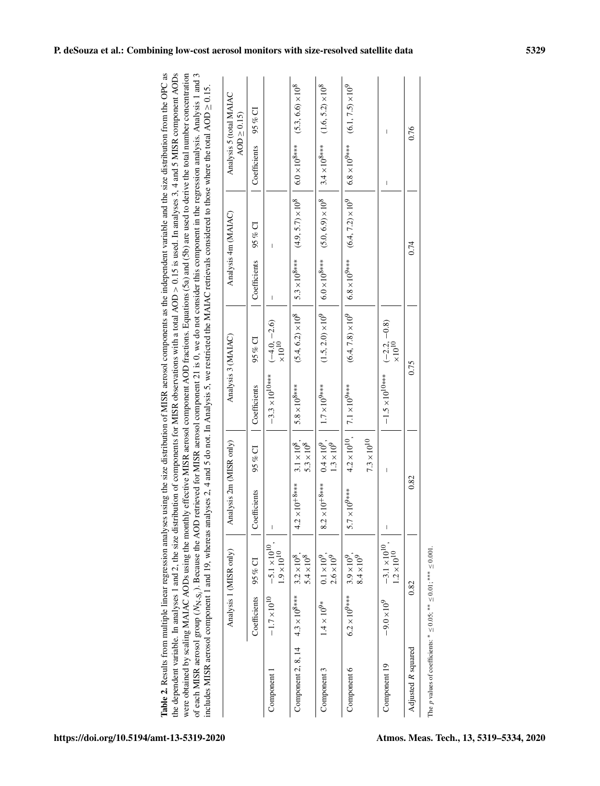| Table 2. Results from multiple linear regression analyses using the size distribution of MISR aerosol components as the independent variable and the size distribution from the OPC as<br>the dependent variable. In analyses 1 and 2, the size distribution of components for MISR observations with a total AOD > 0.15 is used. In analyses 3, 4 and 5 MISR component AODs | were obtained by scaling MAIAC AODs using the monthly effective MISR aerosol component AOD fractions. Equations (5a) and (5b) are used to derive the total number concentration | of each MISR aerosol group ( $N_{N+S_1}$ ). Because the AOD retrieved for MISR aerosol component 21 is 0, we do not consider this component in the regression analysis. Analysis 1 and 3 | ncludes MISR aerosol component 1 and 19, whereas analyses 2, 4 and 5 do not. In Analysis 5, we restricted the MAIAC retrievals considered to those where the total AOD $\geq$ 0.15. |  |
|------------------------------------------------------------------------------------------------------------------------------------------------------------------------------------------------------------------------------------------------------------------------------------------------------------------------------------------------------------------------------|---------------------------------------------------------------------------------------------------------------------------------------------------------------------------------|------------------------------------------------------------------------------------------------------------------------------------------------------------------------------------------|-------------------------------------------------------------------------------------------------------------------------------------------------------------------------------------|--|
|                                                                                                                                                                                                                                                                                                                                                                              |                                                                                                                                                                                 |                                                                                                                                                                                          |                                                                                                                                                                                     |  |
|                                                                                                                                                                                                                                                                                                                                                                              |                                                                                                                                                                                 |                                                                                                                                                                                          |                                                                                                                                                                                     |  |

|                         |                     | $95\%$ CI    |                                               |                                                                                                                              | $(1.6, 5.2) \times 10^8$                                                                                | $(6.1, 7.5) \times 10^9$                      |                                                             |                    |
|-------------------------|---------------------|--------------|-----------------------------------------------|------------------------------------------------------------------------------------------------------------------------------|---------------------------------------------------------------------------------------------------------|-----------------------------------------------|-------------------------------------------------------------|--------------------|
| Analysis 5 (total MAIAC | $AOD \geq 0.15$     | Coefficients |                                               |                                                                                                                              |                                                                                                         | $6.8 \times 10^{9***}$                        | I<br>$\overline{\phantom{a}}$                               | 0.76               |
|                         |                     | $95\%$ CI    |                                               | $(5.4, 6.2) \times 10^8$   $5.3 \times 10^{8***}$ $(4.9, 5.7) \times 10^8$   $6.0 \times 10^{8***}$ $(5.3, 6.6) \times 10^8$ | $(1.5, 2.0) \times 10^{9}$   $6.0 \times 10^{8***}$ $(5.0, 6.9) \times 10^{8}$   $3.4 \times 10^{8***}$ | $(6.4, 7.2) \times 10^9$                      |                                                             |                    |
|                         | Analysis 4m (MAIAC) | Coefficients |                                               |                                                                                                                              |                                                                                                         | $6.8 \times 10^{9***}$                        |                                                             | 0.74               |
|                         |                     | 95% CI       | $(-4.0, -2.6)$<br>$\times 10^{10}$            |                                                                                                                              |                                                                                                         | $(6.4, 7.8) \times 10^9$                      |                                                             |                    |
| Analysis 3 (MAIAC)      |                     | Coefficients | $-3.3 \times 10^{10***}$                      | $5.8 \times 10^{8***}$                                                                                                       | $1.7 \times 10^{9***}$                                                                                  | $4.2 \times 10^{10}$ , 7.1 $\times 10^{9***}$ | $-1.5 \times 10^{10***}$ $(-2.2, -0.8)$<br>$\times 10^{10}$ | 0.75               |
|                         |                     | $95\%$ CI    |                                               | $3.1 \times 10^{8}$ ,<br>$5.3\times10^8$                                                                                     | $0.4 \times 10^{9}$ ,<br>$1.3 \times 10^{9}$                                                            | $7.3\times10^{10}$                            | Ī                                                           |                    |
| Analysis 2m (MISR only) |                     | Coefficients |                                               | $\times10^{+8***}$<br>4.2                                                                                                    | $\times10^{+8***}$<br>8.2                                                                               | $\times10^{9***}$<br>5.7                      | I                                                           | 0.82               |
|                         |                     | $95\%$ CI    | $-5.1 \times 10^{10}$<br>$1.9 \times 10^{10}$ | $5.4\times10^8$                                                                                                              | $2.6 \times 10^9$<br>$0.1 \times 10^{9}$ .                                                              | $8.4\times10^9$<br>$3.9 \times 10^{9}$ .      | $-3.1 \times 10^{10}$<br>$1.2\times10^{10}$                 |                    |
| Analysis 1 (MISR only)  |                     | Coefficients | $-1.7\times10^{10}$                           |                                                                                                                              | $1.4\times10^{9*}$                                                                                      | $6.2 \times 10^{9***}$                        | $-9.0 \times 10^{9}$                                        | 0.82               |
|                         |                     |              | Component                                     | Component 2, 8, 14 $4.3 \times 10^{8***}$ 3.2 $\times 10^8$ ,                                                                | Component 3                                                                                             | Component 6                                   | Component 19                                                | Adjusted R squared |

The  $p$  values of coefficients: The *p* values of coefficients: \*  $\leq 0.05$ ; \*\*  $\leq 0.01$ ; \*\*\*  $\leq 0.001$ . ≤ 0.05; ∗∗ ≤ 0.01; ∗∗∗ ≤ 0.001.

## P. deSouza et al.: Combining low-cost aerosol monitors with size-resolved satellite data 5329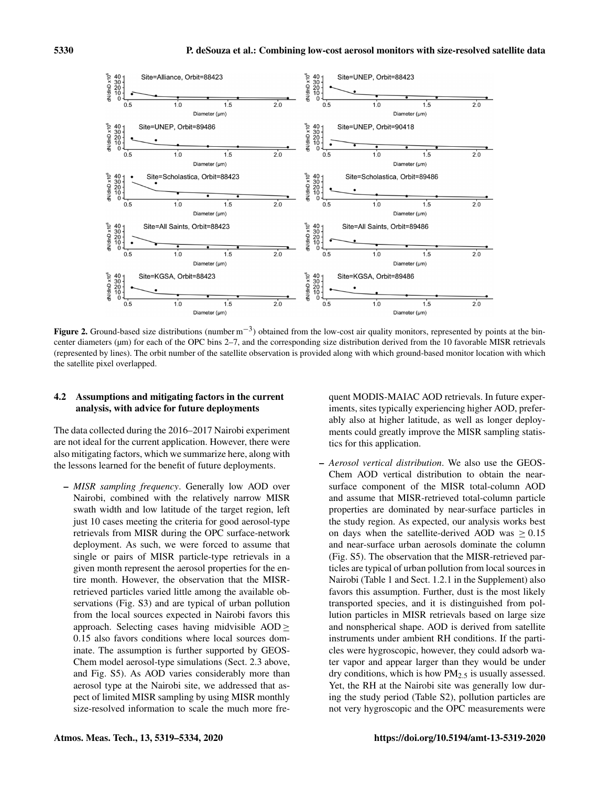

Figure 2. Ground-based size distributions (number  $m^{-3}$ ) obtained from the low-cost air quality monitors, represented by points at the bincenter diameters (µm) for each of the OPC bins 2–7, and the corresponding size distribution derived from the 10 favorable MISR retrievals (represented by lines). The orbit number of the satellite observation is provided along with which ground-based monitor location with which the satellite pixel overlapped.

#### 4.2 Assumptions and mitigating factors in the current analysis, with advice for future deployments

The data collected during the 2016–2017 Nairobi experiment are not ideal for the current application. However, there were also mitigating factors, which we summarize here, along with the lessons learned for the benefit of future deployments.

– *MISR sampling frequency*. Generally low AOD over Nairobi, combined with the relatively narrow MISR swath width and low latitude of the target region, left just 10 cases meeting the criteria for good aerosol-type retrievals from MISR during the OPC surface-network deployment. As such, we were forced to assume that single or pairs of MISR particle-type retrievals in a given month represent the aerosol properties for the entire month. However, the observation that the MISRretrieved particles varied little among the available observations (Fig. S3) and are typical of urban pollution from the local sources expected in Nairobi favors this approach. Selecting cases having midvisible  $AOD \geq$ 0.15 also favors conditions where local sources dominate. The assumption is further supported by GEOS-Chem model aerosol-type simulations (Sect. 2.3 above, and Fig. S5). As AOD varies considerably more than aerosol type at the Nairobi site, we addressed that aspect of limited MISR sampling by using MISR monthly size-resolved information to scale the much more fre-

quent MODIS-MAIAC AOD retrievals. In future experiments, sites typically experiencing higher AOD, preferably also at higher latitude, as well as longer deployments could greatly improve the MISR sampling statistics for this application.

– *Aerosol vertical distribution*. We also use the GEOS-Chem AOD vertical distribution to obtain the nearsurface component of the MISR total-column AOD and assume that MISR-retrieved total-column particle properties are dominated by near-surface particles in the study region. As expected, our analysis works best on days when the satellite-derived AOD was  $\geq 0.15$ and near-surface urban aerosols dominate the column (Fig. S5). The observation that the MISR-retrieved particles are typical of urban pollution from local sources in Nairobi (Table 1 and Sect. 1.2.1 in the Supplement) also favors this assumption. Further, dust is the most likely transported species, and it is distinguished from pollution particles in MISR retrievals based on large size and nonspherical shape. AOD is derived from satellite instruments under ambient RH conditions. If the particles were hygroscopic, however, they could adsorb water vapor and appear larger than they would be under dry conditions, which is how PM2.<sup>5</sup> is usually assessed. Yet, the RH at the Nairobi site was generally low during the study period (Table S2), pollution particles are not very hygroscopic and the OPC measurements were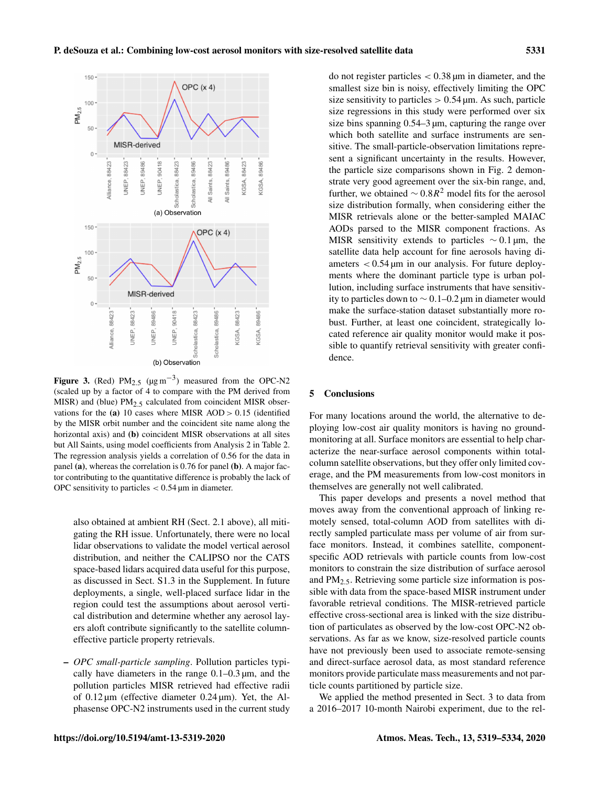

Figure 3. (Red)  $PM_{2.5}$  ( $\mu$ g m<sup>-3</sup>) measured from the OPC-N2 (scaled up by a factor of 4 to compare with the PM derived from MISR) and (blue)  $PM_{2.5}$  calculated from coincident MISR observations for the (a) 10 cases where MISR  $AOD > 0.15$  (identified by the MISR orbit number and the coincident site name along the horizontal axis) and (b) coincident MISR observations at all sites but All Saints, using model coefficients from Analysis 2 in Table 2. The regression analysis yields a correlation of 0.56 for the data in panel (a), whereas the correlation is 0.76 for panel (b). A major factor contributing to the quantitative difference is probably the lack of OPC sensitivity to particles  $< 0.54$  µm in diameter.

also obtained at ambient RH (Sect. 2.1 above), all mitigating the RH issue. Unfortunately, there were no local lidar observations to validate the model vertical aerosol distribution, and neither the CALIPSO nor the CATS space-based lidars acquired data useful for this purpose, as discussed in Sect. S1.3 in the Supplement. In future deployments, a single, well-placed surface lidar in the region could test the assumptions about aerosol vertical distribution and determine whether any aerosol layers aloft contribute significantly to the satellite columneffective particle property retrievals.

– *OPC small-particle sampling*. Pollution particles typically have diameters in the range  $0.1-0.3 \mu m$ , and the pollution particles MISR retrieved had effective radii of  $0.12 \mu m$  (effective diameter  $0.24 \mu m$ ). Yet, the Alphasense OPC-N2 instruments used in the current study

do not register particles  $< 0.38 \mu m$  in diameter, and the smallest size bin is noisy, effectively limiting the OPC size sensitivity to particles  $> 0.54$  µm. As such, particle size regressions in this study were performed over six size bins spanning 0.54–3 µm, capturing the range over which both satellite and surface instruments are sensitive. The small-particle-observation limitations represent a significant uncertainty in the results. However, the particle size comparisons shown in Fig. 2 demonstrate very good agreement over the six-bin range, and, further, we obtained  $\sim 0.8R^2$  model fits for the aerosol size distribution formally, when considering either the MISR retrievals alone or the better-sampled MAIAC AODs parsed to the MISR component fractions. As MISR sensitivity extends to particles  $\sim 0.1$  µm, the satellite data help account for fine aerosols having diameters  $< 0.54 \,\text{\mu m}$  in our analysis. For future deployments where the dominant particle type is urban pollution, including surface instruments that have sensitivity to particles down to ∼ 0.1–0.2 µm in diameter would make the surface-station dataset substantially more robust. Further, at least one coincident, strategically located reference air quality monitor would make it possible to quantify retrieval sensitivity with greater confidence.

#### 5 Conclusions

For many locations around the world, the alternative to deploying low-cost air quality monitors is having no groundmonitoring at all. Surface monitors are essential to help characterize the near-surface aerosol components within totalcolumn satellite observations, but they offer only limited coverage, and the PM measurements from low-cost monitors in themselves are generally not well calibrated.

This paper develops and presents a novel method that moves away from the conventional approach of linking remotely sensed, total-column AOD from satellites with directly sampled particulate mass per volume of air from surface monitors. Instead, it combines satellite, componentspecific AOD retrievals with particle counts from low-cost monitors to constrain the size distribution of surface aerosol and  $PM_{2.5}$ . Retrieving some particle size information is possible with data from the space-based MISR instrument under favorable retrieval conditions. The MISR-retrieved particle effective cross-sectional area is linked with the size distribution of particulates as observed by the low-cost OPC-N2 observations. As far as we know, size-resolved particle counts have not previously been used to associate remote-sensing and direct-surface aerosol data, as most standard reference monitors provide particulate mass measurements and not particle counts partitioned by particle size.

We applied the method presented in Sect. 3 to data from a 2016–2017 10-month Nairobi experiment, due to the rel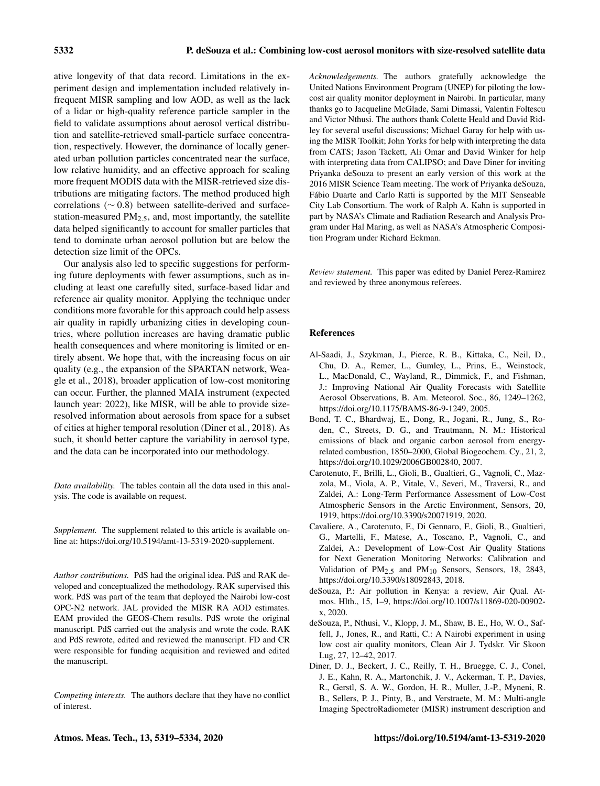ative longevity of that data record. Limitations in the experiment design and implementation included relatively infrequent MISR sampling and low AOD, as well as the lack of a lidar or high-quality reference particle sampler in the field to validate assumptions about aerosol vertical distribution and satellite-retrieved small-particle surface concentration, respectively. However, the dominance of locally generated urban pollution particles concentrated near the surface, low relative humidity, and an effective approach for scaling more frequent MODIS data with the MISR-retrieved size distributions are mitigating factors. The method produced high correlations (∼ 0.8) between satellite-derived and surfacestation-measured  $PM_{2.5}$ , and, most importantly, the satellite data helped significantly to account for smaller particles that tend to dominate urban aerosol pollution but are below the detection size limit of the OPCs.

Our analysis also led to specific suggestions for performing future deployments with fewer assumptions, such as including at least one carefully sited, surface-based lidar and reference air quality monitor. Applying the technique under conditions more favorable for this approach could help assess air quality in rapidly urbanizing cities in developing countries, where pollution increases are having dramatic public health consequences and where monitoring is limited or entirely absent. We hope that, with the increasing focus on air quality (e.g., the expansion of the SPARTAN network, Weagle et al., 2018), broader application of low-cost monitoring can occur. Further, the planned MAIA instrument (expected launch year: 2022), like MISR, will be able to provide sizeresolved information about aerosols from space for a subset of cities at higher temporal resolution (Diner et al., 2018). As such, it should better capture the variability in aerosol type, and the data can be incorporated into our methodology.

*Data availability.* The tables contain all the data used in this analysis. The code is available on request.

*Supplement.* The supplement related to this article is available online at: [https://doi.org/10.5194/amt-13-5319-2020-supplement.](https://doi.org/10.5194/amt-13-5319-2020-supplement)

*Author contributions.* PdS had the original idea. PdS and RAK developed and conceptualized the methodology. RAK supervised this work. PdS was part of the team that deployed the Nairobi low-cost OPC-N2 network. JAL provided the MISR RA AOD estimates. EAM provided the GEOS-Chem results. PdS wrote the original manuscript. PdS carried out the analysis and wrote the code. RAK and PdS rewrote, edited and reviewed the manuscript. FD and CR were responsible for funding acquisition and reviewed and edited the manuscript.

*Competing interests.* The authors declare that they have no conflict of interest.

*Acknowledgements.* The authors gratefully acknowledge the United Nations Environment Program (UNEP) for piloting the lowcost air quality monitor deployment in Nairobi. In particular, many thanks go to Jacqueline McGlade, Sami Dimassi, Valentin Foltescu and Victor Nthusi. The authors thank Colette Heald and David Ridley for several useful discussions; Michael Garay for help with using the MISR Toolkit; John Yorks for help with interpreting the data from CATS; Jason Tackett, Ali Omar and David Winker for help with interpreting data from CALIPSO; and Dave Diner for inviting Priyanka deSouza to present an early version of this work at the 2016 MISR Science Team meeting. The work of Priyanka deSouza, Fábio Duarte and Carlo Ratti is supported by the MIT Senseable City Lab Consortium. The work of Ralph A. Kahn is supported in part by NASA's Climate and Radiation Research and Analysis Program under Hal Maring, as well as NASA's Atmospheric Composition Program under Richard Eckman.

*Review statement.* This paper was edited by Daniel Perez-Ramirez and reviewed by three anonymous referees.

#### References

- Al-Saadi, J., Szykman, J., Pierce, R. B., Kittaka, C., Neil, D., Chu, D. A., Remer, L., Gumley, L., Prins, E., Weinstock, L., MacDonald, C., Wayland, R., Dimmick, F., and Fishman, J.: Improving National Air Quality Forecasts with Satellite Aerosol Observations, B. Am. Meteorol. Soc., 86, 1249–1262, https://doi.org[/10.1175/BAMS-86-9-1249,](https://doi.org/10.1175/BAMS-86-9-1249) 2005.
- Bond, T. C., Bhardwaj, E., Dong, R., Jogani, R., Jung, S., Roden, C., Streets, D. G., and Trautmann, N. M.: Historical emissions of black and organic carbon aerosol from energyrelated combustion, 1850–2000, Global Biogeochem. Cy., 21, 2, https://doi.org[/10.1029/2006GB002840,](https://doi.org/10.1029/2006GB002840) 2007.
- Carotenuto, F., Brilli, L., Gioli, B., Gualtieri, G., Vagnoli, C., Mazzola, M., Viola, A. P., Vitale, V., Severi, M., Traversi, R., and Zaldei, A.: Long-Term Performance Assessment of Low-Cost Atmospheric Sensors in the Arctic Environment, Sensors, 20, 1919, https://doi.org[/10.3390/s20071919,](https://doi.org/10.3390/s20071919) 2020.
- Cavaliere, A., Carotenuto, F., Di Gennaro, F., Gioli, B., Gualtieri, G., Martelli, F., Matese, A., Toscano, P., Vagnoli, C., and Zaldei, A.: Development of Low-Cost Air Quality Stations for Next Generation Monitoring Networks: Calibration and Validation of  $PM<sub>2.5</sub>$  and  $PM<sub>10</sub>$  Sensors, Sensors, 18, 2843, https://doi.org[/10.3390/s18092843,](https://doi.org/10.3390/s18092843) 2018.
- deSouza, P.: Air pollution in Kenya: a review, Air Qual. Atmos. Hlth., 15, 1–9, https://doi.org[/10.1007/s11869-020-00902](https://doi.org/10.1007/s11869-020-00902-x) [x,](https://doi.org/10.1007/s11869-020-00902-x) 2020.
- deSouza, P., Nthusi, V., Klopp, J. M., Shaw, B. E., Ho, W. O., Saffell, J., Jones, R., and Ratti, C.: A Nairobi experiment in using low cost air quality monitors, Clean Air J. Tydskr. Vir Skoon Lug, 27, 12–42, 2017.
- Diner, D. J., Beckert, J. C., Reilly, T. H., Bruegge, C. J., Conel, J. E., Kahn, R. A., Martonchik, J. V., Ackerman, T. P., Davies, R., Gerstl, S. A. W., Gordon, H. R., Muller, J.-P., Myneni, R. B., Sellers, P. J., Pinty, B., and Verstraete, M. M.: Multi-angle Imaging SpectroRadiometer (MISR) instrument description and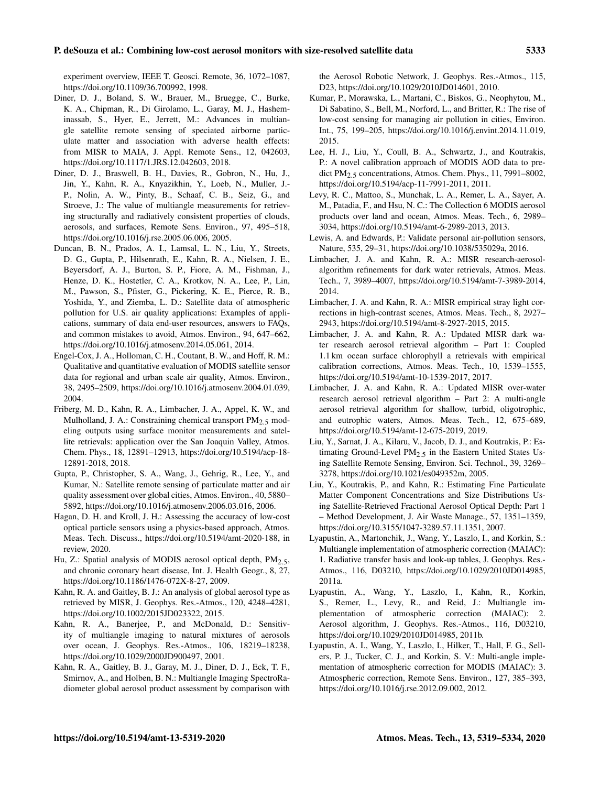experiment overview, IEEE T. Geosci. Remote, 36, 1072–1087, https://doi.org[/10.1109/36.700992,](https://doi.org/10.1109/36.700992) 1998.

- Diner, D. J., Boland, S. W., Brauer, M., Bruegge, C., Burke, K. A., Chipman, R., Di Girolamo, L., Garay, M. J., Hasheminassab, S., Hyer, E., Jerrett, M.: Advances in multiangle satellite remote sensing of speciated airborne particulate matter and association with adverse health effects: from MISR to MAIA, J. Appl. Remote Sens., 12, 042603, https://doi.org[/10.1117/1.JRS.12.042603,](https://doi.org/10.1117/1.JRS.12.042603) 2018.
- Diner, D. J., Braswell, B. H., Davies, R., Gobron, N., Hu, J., Jin, Y., Kahn, R. A., Knyazikhin, Y., Loeb, N., Muller, J.- P., Nolin, A. W., Pinty, B., Schaaf, C. B., Seiz, G., and Stroeve, J.: The value of multiangle measurements for retrieving structurally and radiatively consistent properties of clouds, aerosols, and surfaces, Remote Sens. Environ., 97, 495–518, https://doi.org[/10.1016/j.rse.2005.06.006,](https://doi.org/10.1016/j.rse.2005.06.006) 2005.
- Duncan, B. N., Prados, A. I., Lamsal, L. N., Liu, Y., Streets, D. G., Gupta, P., Hilsenrath, E., Kahn, R. A., Nielsen, J. E., Beyersdorf, A. J., Burton, S. P., Fiore, A. M., Fishman, J., Henze, D. K., Hostetler, C. A., Krotkov, N. A., Lee, P., Lin, M., Pawson, S., Pfister, G., Pickering, K. E., Pierce, R. B., Yoshida, Y., and Ziemba, L. D.: Satellite data of atmospheric pollution for U.S. air quality applications: Examples of applications, summary of data end-user resources, answers to FAQs, and common mistakes to avoid, Atmos. Environ., 94, 647–662, https://doi.org[/10.1016/j.atmosenv.2014.05.061,](https://doi.org/10.1016/j.atmosenv.2014.05.061) 2014.
- Engel-Cox, J. A., Holloman, C. H., Coutant, B. W., and Hoff, R. M.: Qualitative and quantitative evaluation of MODIS satellite sensor data for regional and urban scale air quality, Atmos. Environ., 38, 2495–2509, https://doi.org[/10.1016/j.atmosenv.2004.01.039,](https://doi.org/10.1016/j.atmosenv.2004.01.039) 2004.
- Friberg, M. D., Kahn, R. A., Limbacher, J. A., Appel, K. W., and Mulholland, J. A.: Constraining chemical transport  $PM<sub>2.5</sub>$  modeling outputs using surface monitor measurements and satellite retrievals: application over the San Joaquin Valley, Atmos. Chem. Phys., 18, 12891–12913, https://doi.org[/10.5194/acp-18-](https://doi.org/10.5194/acp-18-12891-2018) [12891-2018,](https://doi.org/10.5194/acp-18-12891-2018) 2018.
- Gupta, P., Christopher, S. A., Wang, J., Gehrig, R., Lee, Y., and Kumar, N.: Satellite remote sensing of particulate matter and air quality assessment over global cities, Atmos. Environ., 40, 5880– 5892, https://doi.org[/10.1016/j.atmosenv.2006.03.016,](https://doi.org/10.1016/j.atmosenv.2006.03.016) 2006.
- Hagan, D. H. and Kroll, J. H.: Assessing the accuracy of low-cost optical particle sensors using a physics-based approach, Atmos. Meas. Tech. Discuss., https://doi.org[/10.5194/amt-2020-188,](https://doi.org/10.5194/amt-2020-188) in review, 2020.
- Hu, Z.: Spatial analysis of MODIS aerosol optical depth,  $PM<sub>2.5</sub>$ , and chronic coronary heart disease, Int. J. Health Geogr., 8, 27, https://doi.org[/10.1186/1476-072X-8-27,](https://doi.org/10.1186/1476-072X-8-27) 2009.
- Kahn, R. A. and Gaitley, B. J.: An analysis of global aerosol type as retrieved by MISR, J. Geophys. Res.-Atmos., 120, 4248–4281, https://doi.org[/10.1002/2015JD023322,](https://doi.org/10.1002/2015JD023322) 2015.
- Kahn, R. A., Banerjee, P., and McDonald, D.: Sensitivity of multiangle imaging to natural mixtures of aerosols over ocean, J. Geophys. Res.-Atmos., 106, 18219–18238, https://doi.org[/10.1029/2000JD900497,](https://doi.org/10.1029/2000JD900497) 2001.
- Kahn, R. A., Gaitley, B. J., Garay, M. J., Diner, D. J., Eck, T. F., Smirnov, A., and Holben, B. N.: Multiangle Imaging SpectroRadiometer global aerosol product assessment by comparison with

the Aerosol Robotic Network, J. Geophys. Res.-Atmos., 115, D23, https://doi.org[/10.1029/2010JD014601,](https://doi.org/10.1029/2010JD014601) 2010.

- Kumar, P., Morawska, L., Martani, C., Biskos, G., Neophytou, M., Di Sabatino, S., Bell, M., Norford, L., and Britter, R.: The rise of low-cost sensing for managing air pollution in cities, Environ. Int., 75, 199–205, https://doi.org[/10.1016/j.envint.2014.11.019,](https://doi.org/10.1016/j.envint.2014.11.019) 2015.
- Lee, H. J., Liu, Y., Coull, B. A., Schwartz, J., and Koutrakis, P.: A novel calibration approach of MODIS AOD data to predict PM<sub>2.5</sub> concentrations, Atmos. Chem. Phys., 11, 7991-8002, https://doi.org[/10.5194/acp-11-7991-2011,](https://doi.org/10.5194/acp-11-7991-2011) 2011.
- Levy, R. C., Mattoo, S., Munchak, L. A., Remer, L. A., Sayer, A. M., Patadia, F., and Hsu, N. C.: The Collection 6 MODIS aerosol products over land and ocean, Atmos. Meas. Tech., 6, 2989– 3034, https://doi.org[/10.5194/amt-6-2989-2013,](https://doi.org/10.5194/amt-6-2989-2013) 2013.
- Lewis, A. and Edwards, P.: Validate personal air-pollution sensors, Nature, 535, 29–31, https://doi.org[/10.1038/535029a,](https://doi.org/10.1038/535029a) 2016.
- Limbacher, J. A. and Kahn, R. A.: MISR research-aerosolalgorithm refinements for dark water retrievals, Atmos. Meas. Tech., 7, 3989–4007, https://doi.org[/10.5194/amt-7-3989-2014,](https://doi.org/10.5194/amt-7-3989-2014) 2014.
- Limbacher, J. A. and Kahn, R. A.: MISR empirical stray light corrections in high-contrast scenes, Atmos. Meas. Tech., 8, 2927– 2943, https://doi.org[/10.5194/amt-8-2927-2015,](https://doi.org/10.5194/amt-8-2927-2015) 2015.
- Limbacher, J. A. and Kahn, R. A.: Updated MISR dark water research aerosol retrieval algorithm – Part 1: Coupled 1.1 km ocean surface chlorophyll a retrievals with empirical calibration corrections, Atmos. Meas. Tech., 10, 1539–1555, https://doi.org[/10.5194/amt-10-1539-2017,](https://doi.org/10.5194/amt-10-1539-2017) 2017.
- Limbacher, J. A. and Kahn, R. A.: Updated MISR over-water research aerosol retrieval algorithm – Part 2: A multi-angle aerosol retrieval algorithm for shallow, turbid, oligotrophic, and eutrophic waters, Atmos. Meas. Tech., 12, 675–689, https://doi.org[/10.5194/amt-12-675-2019,](https://doi.org/10.5194/amt-12-675-2019) 2019.
- Liu, Y., Sarnat, J. A., Kilaru, V., Jacob, D. J., and Koutrakis, P.: Estimating Ground-Level PM2.5 in the Eastern United States Using Satellite Remote Sensing, Environ. Sci. Technol., 39, 3269– 3278, https://doi.org[/10.1021/es049352m,](https://doi.org/10.1021/es049352m) 2005.
- Liu, Y., Koutrakis, P., and Kahn, R.: Estimating Fine Particulate Matter Component Concentrations and Size Distributions Using Satellite-Retrieved Fractional Aerosol Optical Depth: Part 1 – Method Development, J. Air Waste Manage., 57, 1351–1359, https://doi.org[/10.3155/1047-3289.57.11.1351,](https://doi.org/10.3155/1047-3289.57.11.1351) 2007.
- Lyapustin, A., Martonchik, J., Wang, Y., Laszlo, I., and Korkin, S.: Multiangle implementation of atmospheric correction (MAIAC): 1. Radiative transfer basis and look-up tables, J. Geophys. Res.- Atmos., 116, D03210, https://doi.org[/10.1029/2010JD014985,](https://doi.org/10.1029/2010JD014985) 2011a.
- Lyapustin, A., Wang, Y., Laszlo, I., Kahn, R., Korkin, S., Remer, L., Levy, R., and Reid, J.: Multiangle implementation of atmospheric correction (MAIAC): 2. Aerosol algorithm, J. Geophys. Res.-Atmos., 116, D03210, https://doi.org[/10.1029/2010JD014985,](https://doi.org/10.1029/2010JD014985) 2011b.
- Lyapustin, A. I., Wang, Y., Laszlo, I., Hilker, T., Hall, F. G., Sellers, P. J., Tucker, C. J., and Korkin, S. V.: Multi-angle implementation of atmospheric correction for MODIS (MAIAC): 3. Atmospheric correction, Remote Sens. Environ., 127, 385–393, https://doi.org[/10.1016/j.rse.2012.09.002,](https://doi.org/10.1016/j.rse.2012.09.002) 2012.